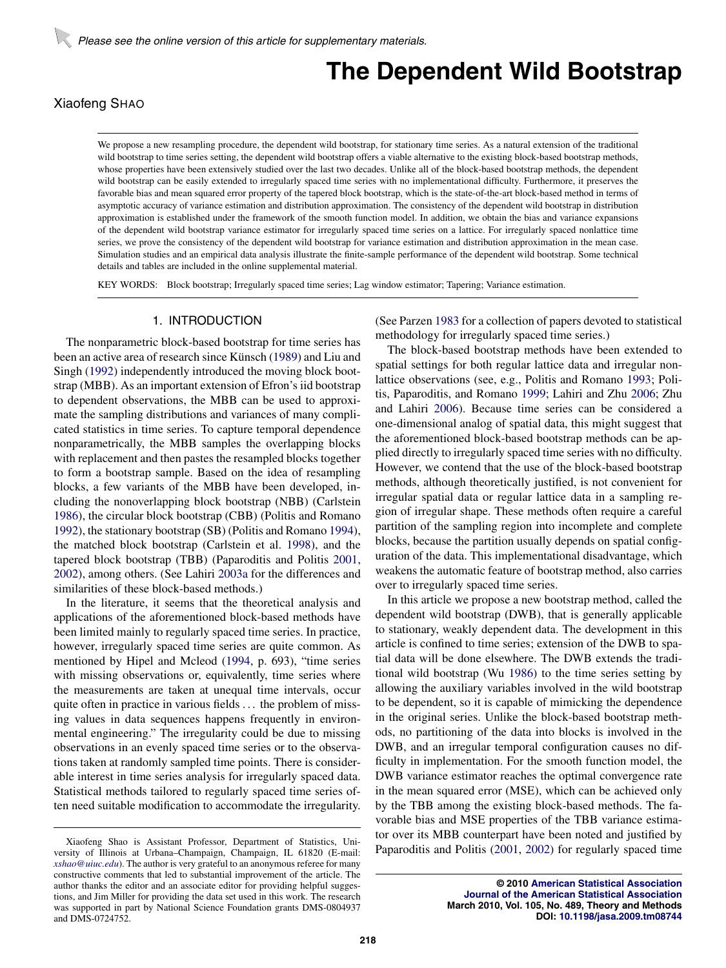# **The Dependent Wild Bootstrap**

# <span id="page-0-0"></span>Xiaofeng SHAO

We propose a new resampling procedure, the dependent wild bootstrap, for stationary time series. As a natural extension of the traditional wild bootstrap to time series setting, the dependent wild bootstrap offers a viable alternative to the existing block-based bootstrap methods, whose properties have been extensively studied over the last two decades. Unlike all of the block-based bootstrap methods, the dependent wild bootstrap can be easily extended to irregularly spaced time series with no implementational difficulty. Furthermore, it preserves the favorable bias and mean squared error property of the tapered block bootstrap, which is the state-of-the-art block-based method in terms of asymptotic accuracy of variance estimation and distribution approximation. The consistency of the dependent wild bootstrap in distribution approximation is established under the framework of the smooth function model. In addition, we obtain the bias and variance expansions of the dependent wild bootstrap variance estimator for irregularly spaced time series on a lattice. For irregularly spaced nonlattice time series, we prove the consistency of the dependent wild bootstrap for variance estimation and distribution approximation in the mean case. Simulation studies and an empirical data analysis illustrate the finite-sample performance of the dependent wild bootstrap. Some technical details and tables are included in the online supplemental material.

KEY WORDS: Block bootstrap; Irregularly spaced time series; Lag window estimator; Tapering; Variance estimation.

### 1. INTRODUCTION

The nonparametric block-based bootstrap for time series has been an active area of research since Künsch [\(1989\)](#page-16-0) and Liu and Singh [\(1992\)](#page-17-0) independently introduced the moving block bootstrap (MBB). As an important extension of Efron's iid bootstrap to dependent observations, the MBB can be used to approximate the sampling distributions and variances of many complicated statistics in time series. To capture temporal dependence nonparametrically, the MBB samples the overlapping blocks with replacement and then pastes the resampled blocks together to form a bootstrap sample. Based on the idea of resampling blocks, a few variants of the MBB have been developed, including the nonoverlapping block bootstrap (NBB) (Carlstein [1986\)](#page-16-0), the circular block bootstrap (CBB) (Politis and Romano [1992\)](#page-17-0), the stationary bootstrap (SB) (Politis and Romano [1994\)](#page-17-0), the matched block bootstrap (Carlstein et al. [1998\)](#page-16-0), and the tapered block bootstrap (TBB) (Paparoditis and Politis [2001,](#page-17-0) [2002\)](#page-17-0), among others. (See Lahiri [2003a](#page-17-0) for the differences and similarities of these block-based methods.)

In the literature, it seems that the theoretical analysis and applications of the aforementioned block-based methods have been limited mainly to regularly spaced time series. In practice, however, irregularly spaced time series are quite common. As mentioned by Hipel and Mcleod [\(1994,](#page-17-0) p. 693), "time series with missing observations or, equivalently, time series where the measurements are taken at unequal time intervals, occur quite often in practice in various fields . . . the problem of missing values in data sequences happens frequently in environmental engineering." The irregularity could be due to missing observations in an evenly spaced time series or to the observations taken at randomly sampled time points. There is considerable interest in time series analysis for irregularly spaced data. Statistical methods tailored to regularly spaced time series often need suitable modification to accommodate the irregularity.

(See Parzen [1983](#page-17-0) for a collection of papers devoted to statistical methodology for irregularly spaced time series.)

The block-based bootstrap methods have been extended to spatial settings for both regular lattice data and irregular nonlattice observations (see, e.g., Politis and Romano [1993;](#page-17-0) Politis, Paparoditis, and Romano [1999;](#page-17-0) Lahiri and Zhu [2006;](#page-17-0) Zhu and Lahiri [2006\)](#page-17-0). Because time series can be considered a one-dimensional analog of spatial data, this might suggest that the aforementioned block-based bootstrap methods can be applied directly to irregularly spaced time series with no difficulty. However, we contend that the use of the block-based bootstrap methods, although theoretically justified, is not convenient for irregular spatial data or regular lattice data in a sampling region of irregular shape. These methods often require a careful partition of the sampling region into incomplete and complete blocks, because the partition usually depends on spatial configuration of the data. This implementational disadvantage, which weakens the automatic feature of bootstrap method, also carries over to irregularly spaced time series.

In this article we propose a new bootstrap method, called the dependent wild bootstrap (DWB), that is generally applicable to stationary, weakly dependent data. The development in this article is confined to time series; extension of the DWB to spatial data will be done elsewhere. The DWB extends the traditional wild bootstrap (Wu [1986\)](#page-17-0) to the time series setting by allowing the auxiliary variables involved in the wild bootstrap to be dependent, so it is capable of mimicking the dependence in the original series. Unlike the block-based bootstrap methods, no partitioning of the data into blocks is involved in the DWB, and an irregular temporal configuration causes no difficulty in implementation. For the smooth function model, the DWB variance estimator reaches the optimal convergence rate in the mean squared error (MSE), which can be achieved only by the TBB among the existing block-based methods. The favorable bias and MSE properties of the TBB variance estimator over its MBB counterpart have been noted and justified by Paparoditis and Politis [\(2001,](#page-17-0) [2002\)](#page-17-0) for regularly spaced time

Xiaofeng Shao is Assistant Professor, Department of Statistics, University of Illinois at Urbana–Champaign, Champaign, IL 61820 (E-mail: *[xshao@uiuc.edu](mailto:xshao@uiuc.edu)*). The author is very grateful to an anonymous referee for many constructive comments that led to substantial improvement of the article. The author thanks the editor and an associate editor for providing helpful suggestions, and Jim Miller for providing the data set used in this work. The research was supported in part by National Science Foundation grants DMS-0804937 and DMS-0724752.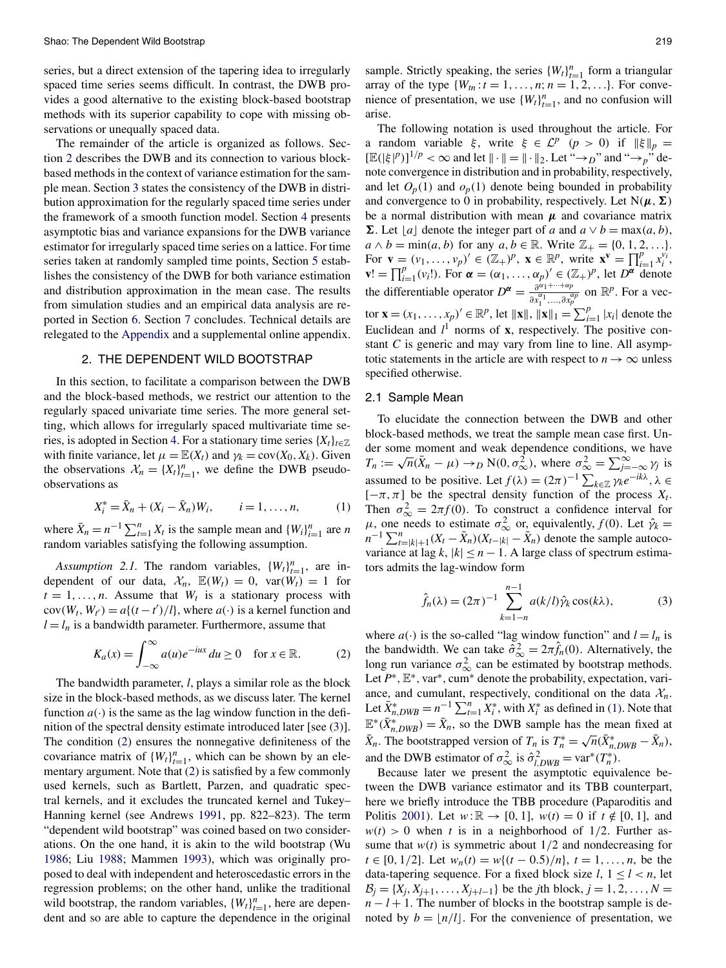<span id="page-1-0"></span>series, but a direct extension of the tapering idea to irregularly spaced time series seems difficult. In contrast, the DWB provides a good alternative to the existing block-based bootstrap methods with its superior capability to cope with missing observations or unequally spaced data.

The remainder of the article is organized as follows. Section 2 describes the DWB and its connection to various blockbased methods in the context of variance estimation for the sample mean. Section [3](#page-3-0) states the consistency of the DWB in distribution approximation for the regularly spaced time series under the framework of a smooth function model. Section [4](#page-4-0) presents asymptotic bias and variance expansions for the DWB variance estimator for irregularly spaced time series on a lattice. For time series taken at randomly sampled time points, Section [5](#page-5-0) establishes the consistency of the DWB for both variance estimation and distribution approximation in the mean case. The results from simulation studies and an empirical data analysis are reported in Section [6.](#page-6-0) Section [7](#page-14-0) concludes. Technical details are relegated to the [Appendix](#page-14-0) and a supplemental online appendix.

## 2. THE DEPENDENT WILD BOOTSTRAP

In this section, to facilitate a comparison between the DWB and the block-based methods, we restrict our attention to the regularly spaced univariate time series. The more general setting, which allows for irregularly spaced multivariate time se-ries, is adopted in Section [4.](#page-4-0) For a stationary time series  $\{X_t\}_{t\in\mathbb{Z}}$ with finite variance, let  $\mu = \mathbb{E}(X_t)$  and  $\gamma_k = \text{cov}(X_0, X_k)$ . Given the observations  $X_n = \{X_t\}_{t=1}^n$ , we define the DWB pseudoobservations as

$$
X_i^* = \bar{X}_n + (X_i - \bar{X}_n)W_i, \qquad i = 1, ..., n,
$$
 (1)

where  $\bar{X}_n = n^{-1} \sum_{t=1}^n X_t$  is the sample mean and  $\{W_i\}_{i=1}^n$  are *n* random variables satisfying the following assumption.

Assumption 2.1. The random variables,  ${W_t}_{t=1}^n$ , are independent of our data,  $\mathcal{X}_n$ ,  $\mathbb{E}(W_t) = 0$ ,  $\text{var}(W_t) = 1$  for  $t = 1, \ldots, n$ . Assume that  $W_t$  is a stationary process with  $cov(W_t, W_{t'}) = a\{(t - t')/l\}$ , where  $a(\cdot)$  is a kernel function and  $l = l_n$  is a bandwidth parameter. Furthermore, assume that

$$
K_a(x) = \int_{-\infty}^{\infty} a(u)e^{-iux} du \ge 0 \quad \text{for } x \in \mathbb{R}.
$$
 (2)

The bandwidth parameter, *l*, plays a similar role as the block size in the block-based methods, as we discuss later. The kernel function  $a(\cdot)$  is the same as the lag window function in the definition of the spectral density estimate introduced later [see (3)]. The condition (2) ensures the nonnegative definiteness of the covariance matrix of  ${W_t}_{t=1}^n$ , which can be shown by an elementary argument. Note that (2) is satisfied by a few commonly used kernels, such as Bartlett, Parzen, and quadratic spectral kernels, and it excludes the truncated kernel and Tukey– Hanning kernel (see Andrews [1991,](#page-16-0) pp. 822–823). The term "dependent wild bootstrap" was coined based on two considerations. On the one hand, it is akin to the wild bootstrap (Wu [1986;](#page-17-0) Liu [1988;](#page-17-0) Mammen [1993\)](#page-17-0), which was originally proposed to deal with independent and heteroscedastic errors in the regression problems; on the other hand, unlike the traditional wild bootstrap, the random variables,  ${W_t}_{t=1}^n$ , here are dependent and so are able to capture the dependence in the original

sample. Strictly speaking, the series  ${W_t}_{t=1}^n$  form a triangular array of the type  $\{W_{tn}: t = 1, ..., n; n = 1, 2, ...\}$ . For convenience of presentation, we use  ${W<sub>t</sub>}^n_{t=1}$ , and no confusion will arise.

The following notation is used throughout the article. For a random variable *ξ*, write  $\xi \in \mathcal{L}^p$  (*p* > 0) if  $\|\xi\|_p =$  $[\mathbb{E}(|\xi|^p)]^{1/p} < \infty$  and let  $\|\cdot\| = \|\cdot\|_2$ . Let  $\theta \to p$ " and  $\theta \to p$ " denote convergence in distribution and in probability, respectively, and let  $O_p(1)$  and  $o_p(1)$  denote being bounded in probability and convergence to 0 in probability, respectively. Let  $N(\mu, \Sigma)$ be a normal distribution with mean  $\mu$  and covariance matrix  $Σ$ . Let  $[a]$  denote the integer part of *a* and  $a ∨ b = max(a, b)$ ,  $a \wedge b = \min(a, b)$  for any  $a, b \in \mathbb{R}$ . Write  $\mathbb{Z}_+ = \{0, 1, 2, \ldots\}$ . For  $\mathbf{v} = (v_1, \ldots, v_p)' \in (\mathbb{Z}_+)^p$ ,  $\mathbf{x} \in \mathbb{R}^p$ , write  $\mathbf{x}^{\mathbf{v}} = \prod_{i=1}^p x_i^{v_i}$ ,  $\mathbf{v}' = \prod_{i=1}^p (v_i!)$ . For  $\boldsymbol{\alpha} = (\alpha_1, \dots, \alpha_p)' \in (\mathbb{Z}_+)^p$ , let  $D^{\boldsymbol{\alpha}}$  denote the differentiable operator  $D^{\alpha} = \frac{\partial^{\alpha_1 + \dots + \alpha_p}}{\partial x_1^{\alpha_1}, \dots, \partial x_p^{\alpha_p}}$  on  $\mathbb{R}^p$ . For a vector  $\mathbf{x} = (x_1, ..., x_p)' \in \mathbb{R}^p$ , let  $\|\mathbf{x}\|_1$ ,  $\|\mathbf{x}\|_1 = \sum_{i=1}^p |x_i|$  denote the Euclidean and  $l^1$  norms of **x**, respectively. The positive constant *C* is generic and may vary from line to line. All asymptotic statements in the article are with respect to  $n \to \infty$  unless specified otherwise.

#### 2.1 Sample Mean

To elucidate the connection between the DWB and other block-based methods, we treat the sample mean case first. Under some moment and weak dependence conditions, we have *Tn* :=  $\sqrt{n}(\bar{X}_n - \mu) \rightarrow_D N(0, \sigma_{\infty}^2)$ , where  $\sigma_{\infty}^2 = \sum_{j=-\infty}^{\infty} \gamma_j$  is assumed to be positive. Let  $f(\lambda) = (2\pi)^{-1} \sum_{k \in \mathbb{Z}} \gamma_k e^{-ik\lambda}, \lambda \in$  $[-\pi, \pi]$  be the spectral density function of the process  $X_t$ . Then  $\sigma_{\infty}^2 = 2\pi f(0)$ . To construct a confidence interval for  $\mu$ , one needs to estimate  $\sigma_{\infty}^2$  or, equivalently,  $f(0)$ . Let  $\hat{\gamma}_k =$  $n^{-1} \sum_{t=|k|+1}^{n} (X_t - \bar{X}_n)(X_{t-|k|} - \bar{X}_n)$  denote the sample autocovariance at lag  $k$ ,  $|k| \le n - 1$ . A large class of spectrum estimators admits the lag-window form

$$
\hat{f}_n(\lambda) = (2\pi)^{-1} \sum_{k=1-n}^{n-1} a(k/l) \hat{\gamma}_k \cos(k\lambda),\tag{3}
$$

where  $a(\cdot)$  is the so-called "lag window function" and  $l = l_n$  is the bandwidth. We can take  $\tilde{\sigma}_{\infty}^2 = 2\pi \hat{f}_n(0)$ . Alternatively, the long run variance  $\sigma_{\infty}^2$  can be estimated by bootstrap methods. Let  $P^*$ ,  $\mathbb{E}^*$ , var<sup>∗</sup>, cum<sup>∗</sup> denote the probability, expectation, variance, and cumulant, respectively, conditional on the data  $\mathcal{X}_n$ . Let  $\bar{X}_{n,DWB}^* = n^{-1} \sum_{t=1}^n \bar{X}_i^*$ , with  $X_i^*$  as defined in (1). Note that  $\mathbb{E}^*(\bar{X}_{n,DWB}^*) = \bar{X}_n$ , so the DWB sample has the mean fixed at  $\bar{X}_n$ . The bootstrapped version of *T<sub>n</sub>* is  $T_n^* = \sqrt{n}(\bar{X}_{n,DWB}^* - \bar{X}_n)$ , and the DWB estimator of  $\sigma_{\infty}^2$  is  $\hat{\sigma}_{l,DWB}^2 = \text{var}^*(T_n^*)$ .

Because later we present the asymptotic equivalence between the DWB variance estimator and its TBB counterpart, here we briefly introduce the TBB procedure (Paparoditis and Politis [2001\)](#page-17-0). Let  $w: \mathbb{R} \to [0, 1]$ ,  $w(t) = 0$  if  $t \notin [0, 1]$ , and  $w(t) > 0$  when *t* is in a neighborhood of 1/2. Further assume that  $w(t)$  is symmetric about  $1/2$  and nondecreasing for *t* ∈ [0, 1/2]. Let  $w_n(t) = w{(t − 0.5)/n}$ ,  $t = 1, ..., n$ , be the data-tapering sequence. For a fixed block size  $l, 1 \le l < n$ , let  $B_i = \{X_i, X_{i+1}, \ldots, X_{i+l-1}\}\$ be the *j*th block,  $j = 1, 2, \ldots, N$  $n - l + 1$ . The number of blocks in the bootstrap sample is denoted by  $b = \lfloor n/l \rfloor$ . For the convenience of presentation, we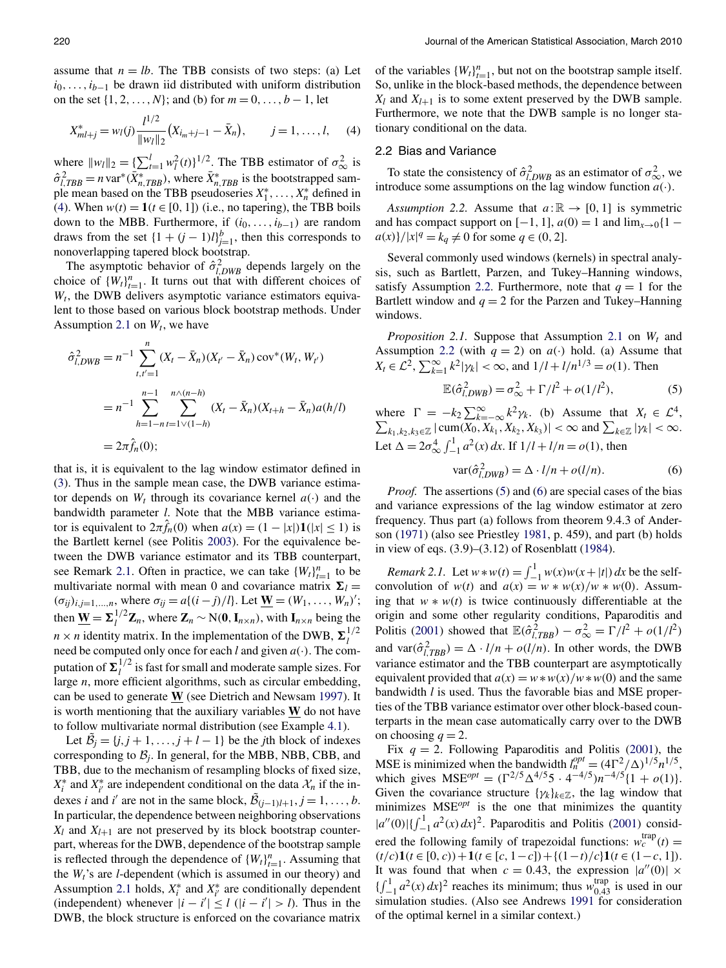<span id="page-2-0"></span>assume that  $n = lb$ . The TBB consists of two steps: (a) Let *i*<sub>0</sub>*,...,i*<sub>*b*−1</sub> be drawn iid distributed with uniform distribution on the set  $\{1, 2, ..., N\}$ ; and (b) for  $m = 0, ..., b - 1$ , let

$$
X_{ml+j}^* = w_l(j) \frac{l^{1/2}}{\|w_l\|_2} (X_{i_m+j-1} - \bar{X}_n), \qquad j = 1, ..., l,
$$
 (4)

where  $||w_l||_2 = \{\sum_{t=1}^l w_l^2(t)\}^{1/2}$ . The TBB estimator of  $\sigma_\infty^2$  is  $\hat{\sigma}_{I,TBB}^2 = n \text{ var}^*(\bar{X}_{n,TBB}^*)$ , where  $\bar{X}_{n,TBB}^*$  is the bootstrapped sample mean based on the TBB pseudoseries  $X_1^*, \ldots, X_n^*$  defined in (4). When  $w(t) = \mathbf{1}(t \in [0, 1])$  (i.e., no tapering), the TBB boils down to the MBB. Furthermore, if  $(i_0, \ldots, i_{b-1})$  are random draws from the set  $\{1 + (j - 1)l\}_{j=1}^b$ , then this corresponds to nonoverlapping tapered block bootstrap.

The asymptotic behavior of  $\hat{\sigma}_{l,DWB}^2$  depends largely on the choice of  ${W_t}_{t=1}^n$ . It turns out that with different choices of  $W_t$ , the DWB delivers asymptotic variance estimators equivalent to those based on various block bootstrap methods. Under Assumption [2.1](#page-1-0) on  $W_t$ , we have

$$
\hat{\sigma}_{l,DWB}^{2} = n^{-1} \sum_{t,t'=1}^{n} (X_{t} - \bar{X}_{n})(X_{t'} - \bar{X}_{n}) \operatorname{cov}^{*}(W_{t}, W_{t'})
$$
  
\n
$$
= n^{-1} \sum_{h=1-n}^{n-1} \sum_{t=1 \vee (1-h)}^{n \wedge (n-h)} (X_{t} - \bar{X}_{n})(X_{t+h} - \bar{X}_{n}) a(h/l)
$$
  
\n
$$
= 2\pi \hat{f}_{n}(0);
$$

that is, it is equivalent to the lag window estimator defined in [\(3\)](#page-1-0). Thus in the sample mean case, the DWB variance estimator depends on  $W_t$  through its covariance kernel  $a(\cdot)$  and the bandwidth parameter *l*. Note that the MBB variance estimator is equivalent to  $2\pi \hat{f}_n(0)$  when  $a(x) = (1 - |x|) \mathbf{1}(|x| \le 1)$  is the Bartlett kernel (see Politis [2003\)](#page-17-0). For the equivalence between the DWB variance estimator and its TBB counterpart, see Remark 2.1. Often in practice, we can take  ${W<sub>t</sub>}^n_{t=1}$  to be multivariate normal with mean 0 and covariance matrix  $\Sigma_l =$  $(\sigma_{ij})_{i,j=1,...,n}$ , where  $\sigma_{ij} = a\{(i-j)/l\}$ . Let  $\underline{W} = (W_1, \ldots, W_n)'$ ; then  $\underline{\mathbf{W}} = \Sigma_l^{1/2} \mathbf{Z}_n$ , where  $\mathbf{Z}_n \sim \mathrm{N}(\mathbf{0}, \mathbf{I}_{n \times n})$ , with  $\mathbf{I}_{n \times n}$  being the  $n \times n$  identity matrix. In the implementation of the DWB,  $\Sigma_l^{1/2}$ *l* need be computed only once for each *l* and given *a(*·*)*. The computation of  $\Sigma_l^{1/2}$  is fast for small and moderate sample sizes. For large *n*, more efficient algorithms, such as circular embedding, can be used to generate **W** (see Dietrich and Newsam [1997\)](#page-16-0). It is worth mentioning that the auxiliary variables **W** do not have to follow multivariate normal distribution (see Example [4.1\)](#page-5-0).

Let  $\tilde{\mathcal{B}}_j = \{j, j + 1, \ldots, j + l - 1\}$  be the *j*th block of indexes corresponding to  $B_j$ . In general, for the MBB, NBB, CBB, and TBB, due to the mechanism of resampling blocks of fixed size,  $X_i^*$  and  $X_{i'}^*$  are independent conditional on the data  $X_n$  if the indexes *i* and *i*' are not in the same block,  $\tilde{B}_{(j-1)l+1}, j = 1, ..., b$ . In particular, the dependence between neighboring observations  $X_l$  and  $X_{l+1}$  are not preserved by its block bootstrap counterpart, whereas for the DWB, dependence of the bootstrap sample is reflected through the dependence of  ${W<sub>t</sub>}^n_{t=1}$ . Assuming that the  $W_t$ 's are *l*-dependent (which is assumed in our theory) and Assumption [2.1](#page-1-0) holds,  $X_i^*$  and  $X_{i'}^*$  are conditionally dependent (independent) whenever  $|i - i'| \leq l$  ( $|i - i'| > l$ ). Thus in the DWB, the block structure is enforced on the covariance matrix

of the variables  $\{W_t\}_{t=1}^n$ , but not on the bootstrap sample itself. So, unlike in the block-based methods, the dependence between  $X_l$  and  $X_{l+1}$  is to some extent preserved by the DWB sample. Furthermore, we note that the DWB sample is no longer stationary conditional on the data.

#### 2.2 Bias and Variance

To state the consistency of  $\hat{\sigma}_{l,DWB}^2$  as an estimator of  $\sigma_{\infty}^2$ , we introduce some assumptions on the lag window function *a(*·*)*.

*Assumption 2.2.* Assume that  $a:\mathbb{R} \to [0, 1]$  is symmetric and has compact support on  $[-1, 1]$ ,  $a(0) = 1$  and  $\lim_{x\to 0}$ {1 –  $a(x)$ // $|x|^q = k_q \neq 0$  for some  $q \in (0, 2]$ .

Several commonly used windows (kernels) in spectral analysis, such as Bartlett, Parzen, and Tukey–Hanning windows, satisfy Assumption 2.2. Furthermore, note that  $q = 1$  for the Bartlett window and  $q = 2$  for the Parzen and Tukey–Hanning windows.

*Proposition [2.1](#page-1-0).* Suppose that Assumption 2.1 on  $W_t$  and Assumption 2.2 (with  $q = 2$ ) on  $a(\cdot)$  hold. (a) Assume that  $X_t \in \mathcal{L}^2$ ,  $\sum_{k=1}^{\infty} k^2 |\gamma_k| < \infty$ , and  $1/l + l/n^{1/3} = o(1)$ . Then

$$
\mathbb{E}(\hat{\sigma}_{l,DWB}^2) = \sigma_{\infty}^2 + \Gamma/l^2 + o(1/l^2),\tag{5}
$$

where  $\Gamma = -k_2 \sum_{k=-\infty}^{\infty} k^2 \gamma_k$ . (b) Assume that  $X_t \in \mathcal{L}^4$ ,<br>  $\sum_{k=1}^{\infty} k_k \gamma_k \sqrt{\frac{2m}{N}}$  cum $(X_0, X_k, X_k, X_k)$  | <  $\infty$  and  $\sum_{k \in \mathbb{Z}} |\gamma_k|$  <  $\infty$ .  $\left| \sum_{k_1, k_2, k_3 \in \mathbb{Z}} \left| \text{ cum}(X_0, X_{k_1}, X_{k_2}, X_{k_3}) \right| < \infty \text{ and } \sum_{k \in \mathbb{Z}} | \gamma_k | < \infty.$ Let  $\Delta = 2\sigma_{\infty}^4 \int_{-1}^{1} a^2(x) dx$ . If  $1/l + l/n = o(1)$ , then

$$
var(\hat{\sigma}_{l,DWB}^2) = \Delta \cdot l/n + o(l/n). \tag{6}
$$

*Proof.* The assertions (5) and (6) are special cases of the bias and variance expressions of the lag window estimator at zero frequency. Thus part (a) follows from theorem 9.4.3 of Anderson [\(1971\)](#page-16-0) (also see Priestley [1981,](#page-17-0) p. 459), and part (b) holds in view of eqs. (3.9)–(3.12) of Rosenblatt [\(1984\)](#page-17-0).

*Remark 2.1.* Let  $w * w(t) = \int_{-1}^{1} w(x)w(x + |t|) dx$  be the selfconvolution of  $w(t)$  and  $a(x) = w * w(x)/w * w(0)$ . Assuming that  $w * w(t)$  is twice continuously differentiable at the origin and some other regularity conditions, Paparoditis and Politis [\(2001\)](#page-17-0) showed that  $\mathbb{E}(\hat{\sigma}_{l,TBB}^2) - \sigma_{\infty}^2 = \Gamma/l^2 + o(1/l^2)$ and  $\text{var}(\hat{\sigma}_{l, TBB}^2) = \Delta \cdot l/n + o(l/n)$ . In other words, the DWB variance estimator and the TBB counterpart are asymptotically equivalent provided that  $a(x) = w * w(x)/w * w(0)$  and the same bandwidth *l* is used. Thus the favorable bias and MSE properties of the TBB variance estimator over other block-based counterparts in the mean case automatically carry over to the DWB on choosing  $q = 2$ .

Fix  $q = 2$ . Following Paparoditis and Politis [\(2001\)](#page-17-0), the MSE is minimized when the bandwidth  $l_n^{opt} = (4\Gamma^2/\Delta)^{1/5} n^{1/5}$ , which gives  $MSE^{opt} = (\Gamma^{2/5} \Delta^{4/5} 5 \cdot 4^{-4/5}) n^{-4/5} \{1 + o(1)\}.$ Given the covariance structure  $\{\gamma_k\}_{k \in \mathbb{Z}}$ , the lag window that minimizes MSE*opt* is the one that minimizes the quantity  $|a''(0)|\{\int_{-1}^{1} a^2(x) dx\}^2$ . Paparoditis and Politis [\(2001\)](#page-17-0) considered the following family of trapezoidal functions:  $w_c^{\text{trap}}(t) =$  $(t/c)\mathbf{1}(t \in [0, c)) + \mathbf{1}(t \in [c, 1-c]) + \{(1-t)/c\}\mathbf{1}(t \in (1-c, 1]).$ It was found that when  $c = 0.43$ , the expression  $|a''(0)| \times$  $\int_{-1}^{1} a^2(x) dx$ <sup>2</sup> reaches its minimum; thus  $w_{0.43}^{\text{trap}}$  is used in our simulation studies. (Also see Andrews [1991](#page-16-0) for consideration of the optimal kernel in a similar context.)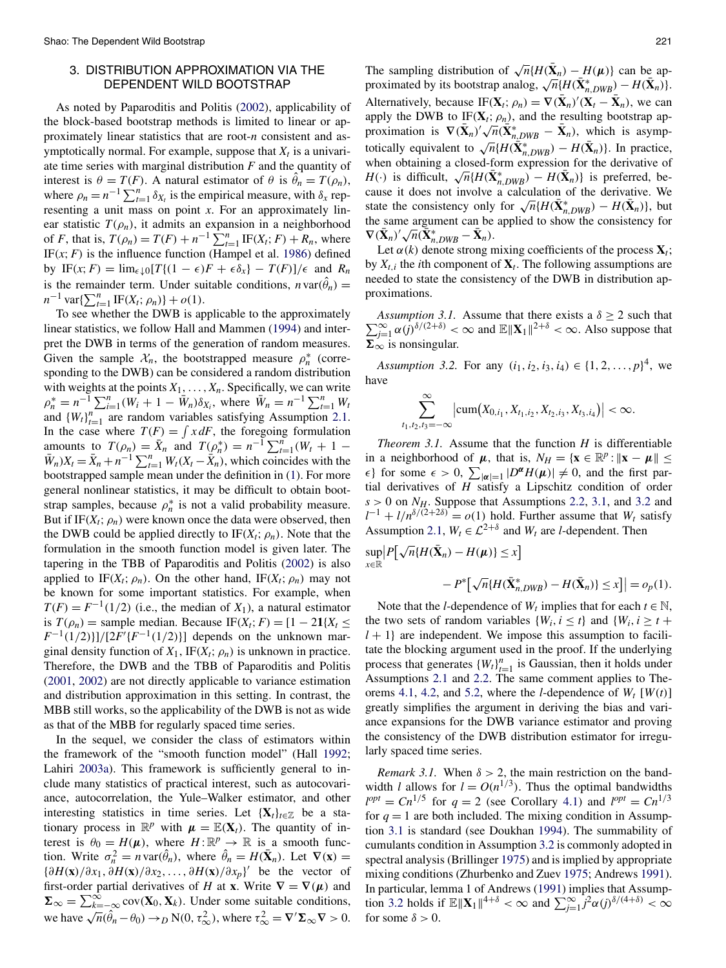## <span id="page-3-0"></span>3. DISTRIBUTION APPROXIMATION VIA THE DEPENDENT WILD BOOTSTRAP

As noted by Paparoditis and Politis [\(2002\)](#page-17-0), applicability of the block-based bootstrap methods is limited to linear or approximately linear statistics that are root-*n* consistent and asymptotically normal. For example, suppose that  $X_t$  is a univariate time series with marginal distribution *F* and the quantity of interest is  $\theta = T(F)$ . A natural estimator of  $\theta$  is  $\hat{\theta}_n = T(\rho_n)$ , where  $\rho_n = n^{-1} \sum_{t=1}^n \delta_{X_t}$  is the empirical measure, with  $\delta_X$  representing a unit mass on point *x*. For an approximately linear statistic  $T(\rho_n)$ , it admits an expansion in a neighborhood of *F*, that is,  $T(\rho_n) = T(F) + n^{-1} \sum_{t=1}^n \text{IF}(X_t; F) + R_n$ , where IF $(x; F)$  is the influence function (Hampel et al. [1986\)](#page-17-0) defined by IF(*x*; *F*) =  $\lim_{\epsilon \downarrow 0} [T\{(1 - \epsilon)F + \epsilon \delta_x\} - T(F)]/\epsilon$  and  $R_n$ is the remainder term. Under suitable conditions,  $n \text{var}(\hat{\theta}_n) =$  $n^{-1} \text{var}\{\sum_{t=1}^{n} \text{IF}(X_t; \rho_n)\} + o(1).$ 

To see whether the DWB is applicable to the approximately linear statistics, we follow Hall and Mammen [\(1994\)](#page-16-0) and interpret the DWB in terms of the generation of random measures. Given the sample  $\mathcal{X}_n$ , the bootstrapped measure  $\rho_n^*$  (corresponding to the DWB) can be considered a random distribution with weights at the points  $X_1, \ldots, X_n$ . Specifically, we can write  $\rho_n^* = n^{-1} \sum_{i=1}^n (W_i + 1 - \bar{W}_n) \delta_{X_i}$ , where  $\bar{W}_n = n^{-1} \sum_{i=1}^n W_i$ and  ${W_t}_{t=1}^n$  are random variables satisfying Assumption [2.1.](#page-1-0) In the case where  $T(F) = \int x dF$ , the foregoing formulation amounts to  $T(\rho_n) = \bar{X}_n$  and  $T(\rho_n^*) = n^{-1} \sum_{t=1}^n (W_t + 1 - t)$  $\bar{W}_n X_t = \bar{X}_n + n^{-1} \sum_{t=1}^n W_t (X_t - \bar{X}_n)$ , which coincides with the bootstrapped sample mean under the definition in [\(1\)](#page-1-0). For more general nonlinear statistics, it may be difficult to obtain bootstrap samples, because  $\rho_n^*$  is not a valid probability measure. But if  $IF(X_t; \rho_n)$  were known once the data were observed, then the DWB could be applied directly to  $IF(X_t; \rho_n)$ . Note that the formulation in the smooth function model is given later. The tapering in the TBB of Paparoditis and Politis [\(2002\)](#page-17-0) is also applied to IF( $X_t$ ;  $\rho_n$ ). On the other hand, IF( $X_t$ ;  $\rho_n$ ) may not be known for some important statistics. For example, when  $T(F) = F^{-1}(1/2)$  (i.e., the median of *X*<sub>1</sub>), a natural estimator is  $T(\rho_n)$  = sample median. Because IF( $X_t$ ; *F*) = [1 – 21{ $X_t$  ≤  $F^{-1}(1/2)$ }]/ $[2F'(F^{-1}(1/2))]$  depends on the unknown marginal density function of  $X_1$ , IF( $X_t$ ;  $\rho_n$ ) is unknown in practice. Therefore, the DWB and the TBB of Paparoditis and Politis [\(2001,](#page-17-0) [2002\)](#page-17-0) are not directly applicable to variance estimation and distribution approximation in this setting. In contrast, the MBB still works, so the applicability of the DWB is not as wide as that of the MBB for regularly spaced time series.

In the sequel, we consider the class of estimators within the framework of the "smooth function model" (Hall [1992;](#page-16-0) Lahiri [2003a\)](#page-17-0). This framework is sufficiently general to include many statistics of practical interest, such as autocovariance, autocorrelation, the Yule–Walker estimator, and other interesting statistics in time series. Let  ${X_t}_{t \in \mathbb{Z}}$  be a stationary process in  $\mathbb{R}^p$  with  $\mu = \mathbb{E}(\mathbf{X}_t)$ . The quantity of interest is  $\theta_0 = H(\mu)$ , where  $H: \mathbb{R}^p \to \mathbb{R}$  is a smooth function. Write  $\sigma_n^2 = n \text{var}(\hat{\theta}_n)$ , where  $\hat{\theta}_n = H(\bar{\mathbf{X}}_n)$ . Let  $\nabla(\mathbf{x}) =$ {*∂H(***x***)/∂x*1*,∂H(***x***)/∂x*2*,...,∂H(***x***)/∂xp*} be the vector of first-order partial derivatives of *H* at **x**. Write  $\nabla = \nabla(\mu)$  and  $\Sigma_{\infty} = \sum_{k=-\infty}^{\infty}$  cov $(\mathbf{X}_0, \mathbf{X}_k)$ . Under some suitable conditions, we have  $\sqrt{n}(\hat{\theta}_n - \theta_0) \rightarrow_D N(0, \tau_\infty^2)$ , where  $\tau_\infty^2 = \nabla^2 \Sigma_\infty \nabla > 0$ .

The sampling distribution of  $\sqrt{n}$ { $H(\bar{\mathbf{X}}_n) - H(\boldsymbol{\mu})$ } can be approximated by its bootstrap analog,  $\sqrt{n} \{H(\mathbf{\bar{X}}_n^* - H(\mathbf{\mu}))\}$  can be approximated by its bootstrap analog,  $\sqrt{n} \{H(\mathbf{\bar{X}}_n^* - D(W_B)) - H(\mathbf{\bar{X}}_n)\}$ . Alternatively, because IF( ${\bf X}_t$ ;  $\rho_n$ ) =  $\nabla (\bar{\bf X}_n)'({\bf X}_t - \bar{\bf X}_n)$ , we can apply the DWB to IF( $X_t$ ;  $\rho_n$ ), and the resulting bootstrap approximation is  $\nabla(\bar{\mathbf{X}}_n) / \sqrt{n}(\bar{\mathbf{X}}_{n,DWB}^*, -\bar{\mathbf{X}}_n)$ , which is asymptotically equivalent to  $\sqrt{n} \{H(\mathbf{X}_{n,DWB}^{*}) - H(\mathbf{X}_{n})\}$ . In practice, when obtaining a closed-form expression for the derivative of *H*(·*)* is difficult,  $\sqrt{n} \{ H(\bar{X}_{n,DWB}^*) - H(\bar{X}_n) \}$  is preferred, because it does not involve a calculation of the derivative. We state the consistency only for  $\sqrt{n} \{H(\bar{\mathbf{X}}_{n,DWB}^{*}) - H(\bar{\mathbf{X}}_{n})\}$ , but the same argument can be applied to show the consistency for  $\nabla (\bar{\mathbf{X}}_n)' \sqrt{n} (\bar{\mathbf{X}}_{n,DWB}^* - \bar{\mathbf{X}}_n)$ .

Let  $\alpha(k)$  denote strong mixing coefficients of the process  $\mathbf{X}_t$ ; by  $X_{t,i}$  the *i*th component of  $X_t$ . The following assumptions are needed to state the consistency of the DWB in distribution approximations.

 $\sum_{j=1}^{\infty} \alpha(j)^{\delta/(2+\delta)} < \infty$  and  $\mathbb{E} \|\mathbf{X}_1\|^{2+\delta} < \infty$ . Also suppose that *Assumption 3.1.* Assume that there exists a  $\delta \geq 2$  such that  $\Sigma_{\infty}$  is nonsingular.

*Assumption 3.2.* For any  $(i_1, i_2, i_3, i_4) \in \{1, 2, ..., p\}^4$ , we have

$$
\sum_{t_2,t_3=-\infty}^{\infty} \left| \text{cum}\big(X_{0,i_1},X_{t_1,i_2},X_{t_2,i_3},X_{t_3,i_4}\big)\right| < \infty.
$$

*t*<sub>1</sub>*,* 

*Theorem 3.1.* Assume that the function *H* is differentiable in a neighborhood of  $\mu$ , that is,  $N_H = \{ \mathbf{x} \in \mathbb{R}^p : ||\mathbf{x} - \mu|| \leq \mu \}$  $\{\epsilon\}$  for some  $\epsilon > 0$ ,  $\sum_{|\alpha|=1} |D^{\alpha}H(\mu)| \neq 0$ , and the first partial derivatives of *H* satisfy a Lipschitz condition of order  $s > 0$  on  $N_H$ . Suppose that Assumptions [2.2,](#page-2-0) 3.1, and 3.2 and  $l^{-1} + l/n^{\delta/(2+2\delta)} = o(1)$  hold. Further assume that  $W_t$  satisfy Assumption [2.1,](#page-1-0)  $W_t \in \mathcal{L}^{2+\delta}$  and  $W_t$  are *l*-dependent. Then

$$
\sup_{x \in \mathbb{R}} \left| P\left[\sqrt{n} \{H(\bar{\mathbf{X}}_n) - H(\boldsymbol{\mu})\} \le x \right] \right|
$$

$$
-P^*\big[\sqrt{n}\{H(\bar{\mathbf{X}}_{n,DWB}^*)-H(\bar{\mathbf{X}}_n)\}\leq x\big]\big|=o_p(1).
$$

Note that the *l*-dependence of  $W_t$  implies that for each  $t \in \mathbb{N}$ , the two sets of random variables  $\{W_i, i \leq t\}$  and  $\{W_i, i \geq t +$  $l + 1$  are independent. We impose this assumption to facilitate the blocking argument used in the proof. If the underlying process that generates  ${W_t}_{t=1}^n$  is Gaussian, then it holds under Assumptions [2.1](#page-1-0) and [2.2.](#page-2-0) The same comment applies to The-orems [4.1,](#page-4-0) [4.2,](#page-4-0) and [5.2,](#page-6-0) where the *l*-dependence of  $W_t$  [ $W(t)$ ] greatly simplifies the argument in deriving the bias and variance expansions for the DWB variance estimator and proving the consistency of the DWB distribution estimator for irregularly spaced time series.

*Remark 3.1.* When  $\delta > 2$ , the main restriction on the bandwidth *l* allows for  $l = O(n^{1/3})$ . Thus the optimal bandwidths  $l^{opt} = Cn^{1/5}$  for  $q = 2$  (see Corollary [4.1\)](#page-4-0) and  $l^{opt} = Cn^{1/3}$ for  $q = 1$  are both included. The mixing condition in Assumption 3.1 is standard (see Doukhan [1994\)](#page-16-0). The summability of cumulants condition in Assumption 3.2 is commonly adopted in spectral analysis (Brillinger [1975\)](#page-16-0) and is implied by appropriate mixing conditions (Zhurbenko and Zuev [1975;](#page-17-0) Andrews [1991\)](#page-16-0). In particular, lemma 1 of Andrews [\(1991\)](#page-16-0) implies that Assumption 3.2 holds if  $\mathbb{E} \|\mathbf{X}_1\|^{4+\delta} < \infty$  and  $\sum_{j=1}^{\infty} j^2 \alpha(j)^{\delta/(4+\delta)} < \infty$ for some  $\delta > 0$ .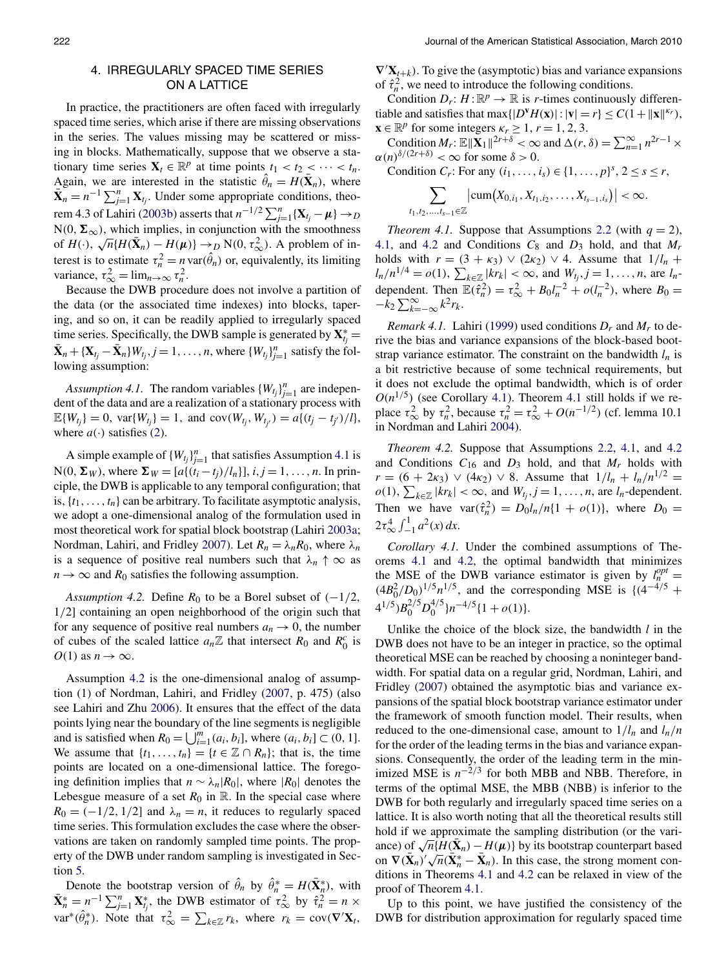# <span id="page-4-0"></span>4. IRREGULARLY SPACED TIME SERIES ON A LATTICE

In practice, the practitioners are often faced with irregularly spaced time series, which arise if there are missing observations in the series. The values missing may be scattered or missing in blocks. Mathematically, suppose that we observe a stationary time series  $\mathbf{X}_t \in \mathbb{R}^p$  at time points  $t_1 < t_2 < \cdots < t_n$ . Again, we are interested in the statistic  $\hat{\theta}_n = H(\bar{\mathbf{X}}_n)$ , where  $\overline{\mathbf{X}}_n = n^{-1} \sum_{j=1}^n \mathbf{X}_{t_j}$ . Under some appropriate conditions, theo-rem 4.3 of Lahiri [\(2003b\)](#page-17-0) asserts that  $n^{-1/2} \sum_{j=1}^{n} {\{\mathbf{X}_{t_j} - \boldsymbol{\mu}\}} \rightarrow_D$  $N(0, \Sigma_{\infty})$ , which implies, in conjunction with the smoothness of  $H(\cdot)$ ,  $\sqrt{n} \{H(\bar{\mathbf{X}}_n) - H(\boldsymbol{\mu})\} \to_D N(0, \tau_\infty^2)$ . A problem of interest is to estimate  $\tau_n^2 = n \text{var}(\hat{\theta}_n)$  or, equivalently, its limiting variance,  $\tau_{\infty}^2 = \lim_{n \to \infty} \tau_n^2$ .

Because the DWB procedure does not involve a partition of the data (or the associated time indexes) into blocks, tapering, and so on, it can be readily applied to irregularly spaced time series. Specifically, the DWB sample is generated by  $\mathbf{X}_{t_j}^* =$  $\bar{\mathbf{X}}_n + {\mathbf{X}_{t_j}} - \bar{\mathbf{X}}_n W_{t_j}, j = 1, \ldots, n$ , where  ${W_{t_j}}_{j=1}^n$  satisfy the following assumption:

Assumption 4.1. The random variables  ${W_{t_j}}_{j=1}^n$  are independent of the data and are a realization of a stationary process with  $\mathbb{E}\{W_{t_j}\} = 0$ ,  $\text{var}\{W_{t_j}\} = 1$ , and  $\text{cov}(W_{t_j}, W_{t_{j'}}) = a\{(t_j - t_{j'})/l\},$ where  $a(\cdot)$  satisfies [\(2\)](#page-1-0).

A simple example of  ${W_{t_j}}_{j=1}^n$  that satisfies Assumption 4.1 is  $N(0, \Sigma_W)$ , where  $\Sigma_W = [a\{(t_i - t_j)/l_n\}]$ ,  $i, j = 1, ..., n$ . In principle, the DWB is applicable to any temporal configuration; that is,  $\{t_1, \ldots, t_n\}$  can be arbitrary. To facilitate asymptotic analysis, we adopt a one-dimensional analog of the formulation used in most theoretical work for spatial block bootstrap (Lahiri [2003a;](#page-17-0) Nordman, Lahiri, and Fridley [2007\)](#page-17-0). Let  $R_n = \lambda_n R_0$ , where  $\lambda_n$ is a sequence of positive real numbers such that  $\lambda_n \uparrow \infty$  as  $n \rightarrow \infty$  and  $R_0$  satisfies the following assumption.

*Assumption 4.2.* Define  $R_0$  to be a Borel subset of  $(-1/2,$ 1*/*2] containing an open neighborhood of the origin such that for any sequence of positive real numbers  $a_n \to 0$ , the number of cubes of the scaled lattice  $a_n \mathbb{Z}$  that intersect  $R_0$  and  $R_0^c$  is  $O(1)$  as  $n \to \infty$ .

Assumption 4.2 is the one-dimensional analog of assumption (1) of Nordman, Lahiri, and Fridley [\(2007,](#page-17-0) p. 475) (also see Lahiri and Zhu [2006\)](#page-17-0). It ensures that the effect of the data points lying near the boundary of the line segments is negligible and is satisfied when  $R_0 = \bigcup_{i=1}^m (a_i, b_i]$ , where  $(a_i, b_i] \subset (0, 1]$ . We assume that  $\{t_1, \ldots, t_n\} = \{t \in \mathbb{Z} \cap R_n\}$ ; that is, the time points are located on a one-dimensional lattice. The foregoing definition implies that  $n \sim \lambda_n |R_0|$ , where |*R*<sub>0</sub>| denotes the Lebesgue measure of a set  $R_0$  in  $\mathbb R$ . In the special case where  $R_0 = (-1/2, 1/2]$  and  $\lambda_n = n$ , it reduces to regularly spaced time series. This formulation excludes the case where the observations are taken on randomly sampled time points. The property of the DWB under random sampling is investigated in Section [5.](#page-5-0)

Denote the bootstrap version of  $\hat{\theta}_n$  by  $\hat{\theta}_n^* = H(\bar{\mathbf{X}}_n^*)$ , with  $\bar{\mathbf{X}}_n^* = n^{-1} \sum_{j=1}^n \mathbf{X}_{t_j}^*$ , the DWB estimator of  $\tau_\infty^2$  by  $\hat{\tau}_n^2 = n \times$  $var^*(\hat{\theta}_n^*)$ . Note that  $\tau_{\infty}^2 = \sum_{k \in \mathbb{Z}} r_k$ , where  $r_k = cov(\nabla^{\prime} \mathbf{X}_t)$ ,  $\nabla'$ **X**<sub>*t*+*k*</sub> $)$ . To give the (asymptotic) bias and variance expansions of  $\hat{\tau}_n^2$ , we need to introduce the following conditions.

Condition  $D_r$ :  $H : \mathbb{R}^p \to \mathbb{R}$  is *r*-times continuously differentiable and satisfies that max $\{|D^{\mathbf{v}}H(\mathbf{x})|:|\mathbf{v}| = r\} \leq C(1 + ||\mathbf{x}||^{\kappa_r}),$  $\mathbf{x} \in \mathbb{R}^p$  for some integers  $\kappa_r \geq 1, r = 1, 2, 3$ .

Condition  $M_r$ :  $\mathbb{E} \|\mathbf{X}_1\|^{2r+\delta} < \infty$  and  $\Delta(r, \delta) = \sum_{n=1}^{\infty} n^{2r-1} \times$  $\alpha(n)^{\delta/(2r+\delta)} < \infty$  for some  $\delta > 0$ .

Condition *C<sub>r</sub>*: For any  $(i_1, ..., i_s) \in \{1, ..., p\}^s$ ,  $2 \le s \le r$ ,

$$
\sum_{t_1,t_2,...,t_{s-1}\in\mathbb{Z}}\left|\text{cum}(X_{0,i_1},X_{t_1,i_2},\ldots,X_{t_{s-1},i_s})\right|<\infty.
$$

*Theorem 4.1.* Suppose that Assumptions [2.2](#page-2-0) (with  $q = 2$ ), 4.1, and 4.2 and Conditions  $C_8$  and  $D_3$  hold, and that  $M_r$ holds with  $r = (3 + \kappa_3) \vee (2\kappa_2) \vee 4$ . Assume that  $1/l_n +$  $l_n/n^{1/4} = o(1), \sum_{k \in \mathbb{Z}} |kr_k| < \infty$ , and  $W_{t_j}, j = 1, ..., n$ , are  $l_n$ dependent. Then  $\mathbb{E}(\hat{\tau}_n^2) = \tau_{\infty}^2 + B_0 l_n^{-2} + o(l_n^{-2}),$  where  $B_0 =$  $-k_2 \sum_{k=-\infty}^{\infty} k^2 r_k$ .

*Remark 4.1.* Lahiri [\(1999\)](#page-17-0) used conditions  $D_r$  and  $M_r$  to derive the bias and variance expansions of the block-based bootstrap variance estimator. The constraint on the bandwidth  $l_n$  is a bit restrictive because of some technical requirements, but it does not exclude the optimal bandwidth, which is of order  $O(n^{1/5})$  (see Corollary 4.1). Theorem 4.1 still holds if we replace  $\tau_{\infty}^2$  by  $\tau_n^2$ , because  $\tau_n^2 = \tau_{\infty}^2 + O(n^{-1/2})$  (cf. lemma 10.1 in Nordman and Lahiri [2004\)](#page-17-0).

*Theorem 4.2.* Suppose that Assumptions [2.2,](#page-2-0) 4.1, and 4.2 and Conditions  $C_{16}$  and  $D_3$  hold, and that  $M_r$  holds with  $r = (6 + 2\kappa_3) \vee (4\kappa_2) \vee 8$ . Assume that  $1/l_n + l_n/n^{1/2} =$  $o(1)$ ,  $\sum_{k \in \mathbb{Z}} |kr_k| < \infty$ , and  $W_{t_j}, j = 1, \ldots, n$ , are  $l_n$ -dependent. Then we have  $var(\hat{\tau}_n^2) = D_0 l_n / n \{1 + o(1)\}$ , where  $D_0 =$  $2\tau_{\infty}^4 \int_{-1}^1 a^2(x) dx$ .

*Corollary 4.1.* Under the combined assumptions of Theorems 4.1 and 4.2, the optimal bandwidth that minimizes the MSE of the DWB variance estimator is given by  $l_n^{opt} =$  $(4B_0^2/D_0)^{1/5}n^{1/5}$ , and the corresponding MSE is  $\{(4^{-4/5} +$  $4^{1/5}$  $B_0^{2/5}$  $D_0^{4/5}$  $n^{-4/5}$  $\{1+o(1)\}.$ 

Unlike the choice of the block size, the bandwidth *l* in the DWB does not have to be an integer in practice, so the optimal theoretical MSE can be reached by choosing a noninteger bandwidth. For spatial data on a regular grid, Nordman, Lahiri, and Fridley [\(2007\)](#page-17-0) obtained the asymptotic bias and variance expansions of the spatial block bootstrap variance estimator under the framework of smooth function model. Their results, when reduced to the one-dimensional case, amount to  $1/l_n$  and  $l_n/n$ for the order of the leading terms in the bias and variance expansions. Consequently, the order of the leading term in the minimized MSE is  $n^{-2/3}$  for both MBB and NBB. Therefore, in terms of the optimal MSE, the MBB (NBB) is inferior to the DWB for both regularly and irregularly spaced time series on a lattice. It is also worth noting that all the theoretical results still hold if we approximate the sampling distribution (or the variance) of  $\sqrt{n}$ { $H$ (**X**<sub>n</sub>) −  $H$ ( $\mu$ )} by its bootstrap counterpart based ance) or  $\sqrt{n_1 n} (\mathbf{X}_n) - n(\mu)$  by its bootstrap counterpart based<br>on  $\nabla (\bar{\mathbf{X}}_n)' \sqrt{n} (\bar{\mathbf{X}}_n^* - \bar{\mathbf{X}}_n)$ . In this case, the strong moment conditions in Theorems 4.1 and 4.2 can be relaxed in view of the proof of Theorem 4.1.

Up to this point, we have justified the consistency of the DWB for distribution approximation for regularly spaced time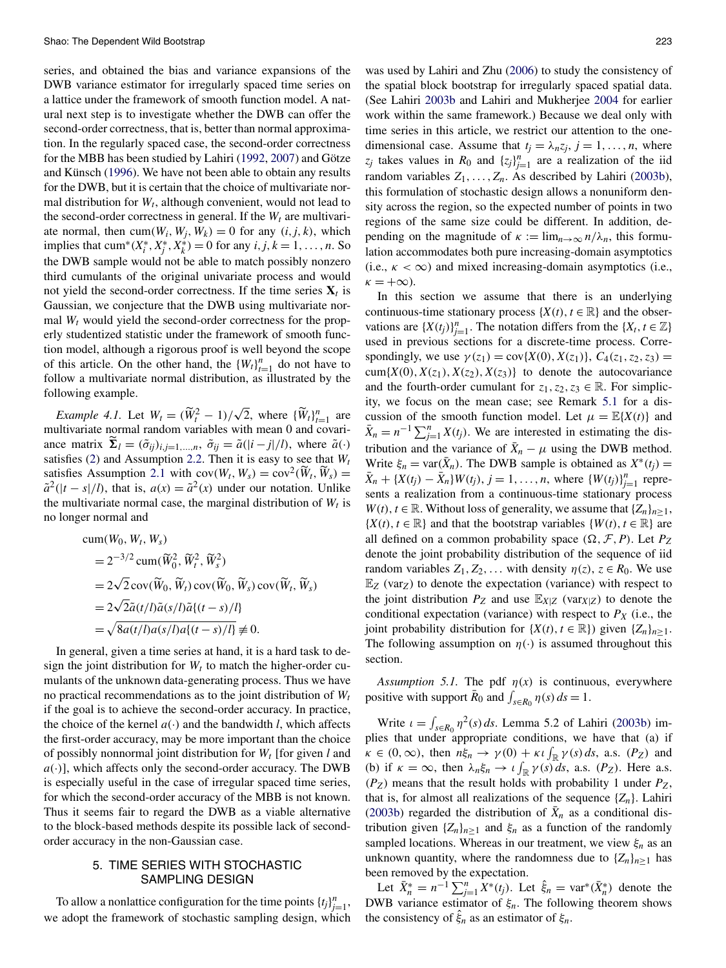<span id="page-5-0"></span>series, and obtained the bias and variance expansions of the DWB variance estimator for irregularly spaced time series on a lattice under the framework of smooth function model. A natural next step is to investigate whether the DWB can offer the second-order correctness, that is, better than normal approximation. In the regularly spaced case, the second-order correctness for the MBB has been studied by Lahiri [\(1992,](#page-17-0) [2007\)](#page-17-0) and Götze and Künsch [\(1996\)](#page-16-0). We have not been able to obtain any results for the DWB, but it is certain that the choice of multivariate normal distribution for  $W_t$ , although convenient, would not lead to the second-order correctness in general. If the  $W_t$  are multivariate normal, then cum $(W_i, W_j, W_k) = 0$  for any  $(i, j, k)$ , which implies that cum<sup>\*</sup> $(X_i^*, X_j^*, X_k^*) = 0$  for any *i*, *j*, *k* = 1, ..., *n*. So the DWB sample would not be able to match possibly nonzero third cumulants of the original univariate process and would not yield the second-order correctness. If the time series  $X_t$  is Gaussian, we conjecture that the DWB using multivariate normal  $W_t$  would yield the second-order correctness for the properly studentized statistic under the framework of smooth function model, although a rigorous proof is well beyond the scope of this article. On the other hand, the  ${W<sub>t</sub>}^n_{t=1}$  do not have to follow a multivariate normal distribution, as illustrated by the following example.

*Example 4.1.* Let  $W_t = (\widetilde{W}_t^2 - 1)/\sqrt{2}$ , where  ${\{\widetilde{W}_t\}}_{t=1}^n$  are multivariate normal random variables with mean 0 and covariance matrix  $\Sigma_l = (\tilde{\sigma}_{ij})_{i,j=1,...,n}$ ,  $\tilde{\sigma}_{ij} = \tilde{a}(|i-j|/l)$ , where  $\tilde{a}(\cdot)$ satisfies [\(2\)](#page-1-0) and Assumption [2.2.](#page-2-0) Then it is easy to see that  $W_t$ satisfies Assumption [2.1](#page-1-0) with  $cov(W_t, W_s) = cov^2(\widetilde{W}_t, \widetilde{W}_s)$  $\tilde{a}^2(|t-s|/l)$ , that is,  $a(x) = \tilde{a}^2(x)$  under our notation. Unlike the multivariate normal case, the marginal distribution of  $W_t$  is no longer normal and

$$
\begin{aligned}\n&\text{cum}(W_0, W_t, W_s) \\
&= 2^{-3/2} \text{cum}(\widetilde{W}_0^2, \widetilde{W}_t^2, \widetilde{W}_s^2) \\
&= 2\sqrt{2} \text{cov}(\widetilde{W}_0, \widetilde{W}_t) \text{cov}(\widetilde{W}_0, \widetilde{W}_s) \text{cov}(\widetilde{W}_t, \widetilde{W}_s) \\
&= 2\sqrt{2}\widetilde{a}(t/l)\widetilde{a}(s/l)\widetilde{a}\{(t-s)/l\} \\
&= \sqrt{8a(t/l)a(s/l)a\{(t-s)/l\}} \neq 0.\n\end{aligned}
$$

In general, given a time series at hand, it is a hard task to design the joint distribution for  $W_t$  to match the higher-order cumulants of the unknown data-generating process. Thus we have no practical recommendations as to the joint distribution of  $W_t$ if the goal is to achieve the second-order accuracy. In practice, the choice of the kernel  $a(\cdot)$  and the bandwidth *l*, which affects the first-order accuracy, may be more important than the choice of possibly nonnormal joint distribution for  $W_t$  [for given *l* and  $a(\cdot)$ , which affects only the second-order accuracy. The DWB is especially useful in the case of irregular spaced time series, for which the second-order accuracy of the MBB is not known. Thus it seems fair to regard the DWB as a viable alternative to the block-based methods despite its possible lack of secondorder accuracy in the non-Gaussian case.

## 5. TIME SERIES WITH STOCHASTIC SAMPLING DESIGN

To allow a nonlattice configuration for the time points  $\{t_j\}_{j=1}^n$ , we adopt the framework of stochastic sampling design, which was used by Lahiri and Zhu [\(2006\)](#page-17-0) to study the consistency of the spatial block bootstrap for irregularly spaced spatial data. (See Lahiri [2003b](#page-17-0) and Lahiri and Mukherjee [2004](#page-17-0) for earlier work within the same framework.) Because we deal only with time series in this article, we restrict our attention to the onedimensional case. Assume that  $t_j = \lambda_n z_j$ ,  $j = 1, \ldots, n$ , where *z<sub>j</sub>* takes values in  $R_0$  and  $\{z_j\}_{j=1}^n$  are a realization of the iid random variables  $Z_1, \ldots, Z_n$ . As described by Lahiri [\(2003b\)](#page-17-0), this formulation of stochastic design allows a nonuniform density across the region, so the expected number of points in two regions of the same size could be different. In addition, depending on the magnitude of  $\kappa := \lim_{n \to \infty} n/\lambda_n$ , this formulation accommodates both pure increasing-domain asymptotics (i.e.,  $\kappa < \infty$ ) and mixed increasing-domain asymptotics (i.e.,  $\kappa = +\infty$ ).

In this section we assume that there is an underlying continuous-time stationary process  $\{X(t), t \in \mathbb{R}\}\$  and the observations are  $\{X(t_j)\}_{j=1}^n$ . The notation differs from the  $\{X_t, t \in \mathbb{Z}\}\$ used in previous sections for a discrete-time process. Correspondingly, we use  $\gamma(z_1) = \text{cov}\{X(0), X(z_1)\}, C_4(z_1, z_2, z_3) =$ cum $\{X(0), X(z_1), X(z_2), X(z_3)\}$  to denote the autocovariance and the fourth-order cumulant for  $z_1, z_2, z_3 \in \mathbb{R}$ . For simplicity, we focus on the mean case; see Remark [5.1](#page-6-0) for a discussion of the smooth function model. Let  $\mu = \mathbb{E}\{X(t)\}\$ and  $\bar{X}_n = n^{-1} \sum_{j=1}^n X(t_j)$ . We are interested in estimating the distribution and the variance of  $\bar{X}_n - \mu$  using the DWB method. Write  $\xi_n = \text{var}(\bar{X}_n)$ . The DWB sample is obtained as  $X^*(t_j) =$  $\bar{X}_n + \{X(t_j) - \bar{X}_n\}W(t_j), j = 1, \ldots, n$ , where  $\{W(t_j)\}_{j=1}^n$  represents a realization from a continuous-time stationary process *W*(*t*), *t* ∈ R. Without loss of generality, we assume that  ${Z_n}_{n \ge 1}$ ,  ${X(t), t \in \mathbb{R}}$  and that the bootstrap variables  ${W(t), t \in \mathbb{R}}$  are all defined on a common probability space  $(\Omega, \mathcal{F}, P)$ . Let  $P_Z$ denote the joint probability distribution of the sequence of iid random variables  $Z_1, Z_2, \ldots$  with density  $\eta(z), z \in R_0$ . We use  $\mathbb{E}_Z$  (var<sub>Z</sub>) to denote the expectation (variance) with respect to the joint distribution  $P_Z$  and use  $\mathbb{E}_{X|Z}$  (var<sub>*X*|*Z*) to denote the</sub> conditional expectation (variance) with respect to  $P_X$  (i.e., the joint probability distribution for  $\{X(t), t \in \mathbb{R}\}\)$  given  $\{Z_n\}_{n>1}$ . The following assumption on  $\eta(\cdot)$  is assumed throughout this section.

*Assumption 5.1.* The pdf  $\eta(x)$  is continuous, everywhere positive with support  $\bar{R}_0$  and  $\int_{s \in R_0} \eta(s) ds = 1$ .

Write  $\iota = \int_{s \in R_0} \eta^2(s) ds$ . Lemma 5.2 of Lahiri [\(2003b\)](#page-17-0) implies that under appropriate conditions, we have that (a) if  $\kappa \in (0, \infty)$ , then  $n\xi_n \to \gamma(0) + \kappa \iota \int_{\mathbb{R}} \gamma(s) ds$ , a.s.  $(P_Z)$  and (b) if  $\kappa = \infty$ , then  $\lambda_n \xi_n \to \iota \int_{\mathbb{R}} \gamma(s) ds$ , a.s.  $(P_Z)$ . Here a.s.  $(P_Z)$  means that the result holds with probability 1 under  $P_Z$ , that is, for almost all realizations of the sequence  $\{Z_n\}$ . Lahiri [\(2003b\)](#page-17-0) regarded the distribution of  $\bar{X}_n$  as a conditional distribution given  $\{Z_n\}_{n>1}$  and  $\xi_n$  as a function of the randomly sampled locations. Whereas in our treatment, we view *ξ<sup>n</sup>* as an unknown quantity, where the randomness due to  ${Z_n}_{n \geq 1}$  has been removed by the expectation.

Let  $\bar{X}_n^* = n^{-1} \sum_{j=1}^n X^*(t_j)$ . Let  $\hat{\xi}_n = \text{var}^*(\bar{X}_n^*)$  denote the DWB variance estimator of  $\xi_n$ . The following theorem shows the consistency of  $\hat{\xi}_n$  as an estimator of  $\xi_n$ .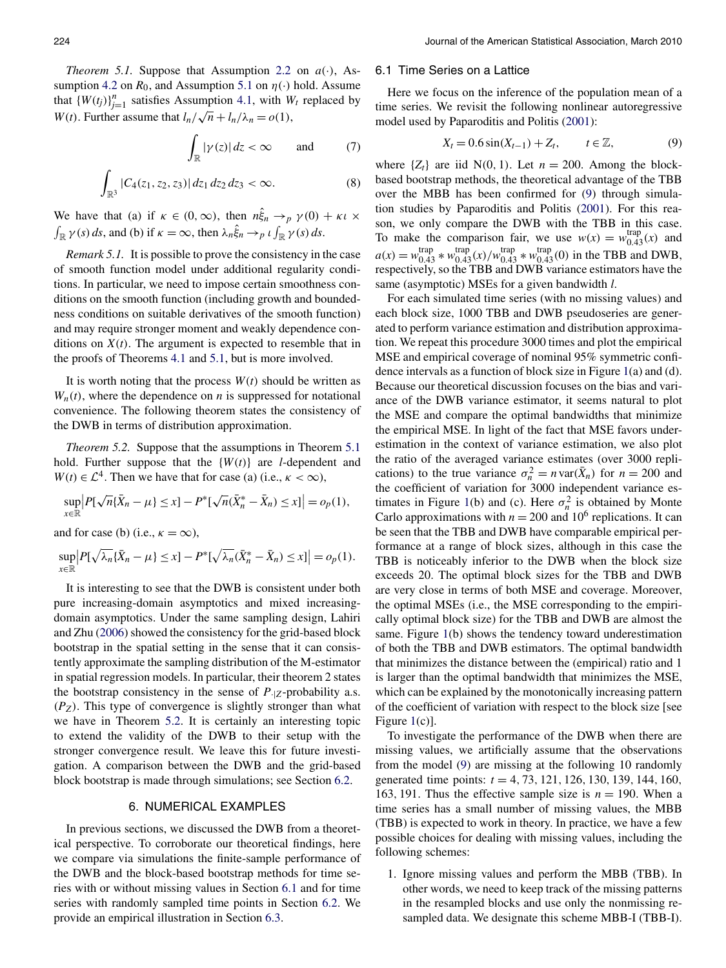<span id="page-6-0"></span>*Theorem 5.1.* Suppose that Assumption [2.2](#page-2-0) on *a(*·*)*, As-sumption [4.2](#page-4-0) on  $R_0$ , and Assumption [5.1](#page-5-0) on  $\eta(\cdot)$  hold. Assume that  ${W(t_j)}_{j=1}^n$  satisfies Assumption [4.1,](#page-4-0) with  $W_t$  replaced by *W*(*t*). Further assume that  $l_n/\sqrt{n} + l_n/\lambda_n = o(1)$ ,

$$
\int_{\mathbb{R}} |\gamma(z)| dz < \infty \quad \text{and} \quad (7)
$$

$$
\int_{\mathbb{R}^3} |C_4(z_1, z_2, z_3)| dz_1 dz_2 dz_3 < \infty.
$$
 (8)

We have that (a) if  $\kappa \in (0, \infty)$ , then  $n\hat{\xi}_n \to_p \gamma(0) + \kappa \iota \times$  $\int_{\mathbb{R}} \gamma(s) ds$ , and (b) if  $\kappa = \infty$ , then  $\lambda_n \hat{\xi}_n \to_p \iota \int_{\mathbb{R}} \gamma(s) ds$ .

*Remark 5.1.* It is possible to prove the consistency in the case of smooth function model under additional regularity conditions. In particular, we need to impose certain smoothness conditions on the smooth function (including growth and boundedness conditions on suitable derivatives of the smooth function) and may require stronger moment and weakly dependence conditions on  $X(t)$ . The argument is expected to resemble that in the proofs of Theorems [4.1](#page-4-0) and 5.1, but is more involved.

It is worth noting that the process  $W(t)$  should be written as  $W_n(t)$ , where the dependence on *n* is suppressed for notational convenience. The following theorem states the consistency of the DWB in terms of distribution approximation.

*Theorem 5.2.* Suppose that the assumptions in Theorem 5.1 hold. Further suppose that the  ${W(t)}$  are *l*-dependent and  $W(t) \in \mathcal{L}^4$ . Then we have that for case (a) (i.e.,  $\kappa < \infty$ ),

$$
\sup_{x\in\mathbb{R}}\left|P[\sqrt{n}\{\bar{X}_n-\mu\}\leq x]-P^*[\sqrt{n}(\bar{X}_n^*-\bar{X}_n)\leq x]\right|=o_p(1),
$$

and for case (b) (i.e.,  $\kappa = \infty$ ),

$$
\sup_{x\in\mathbb{R}}\left|P[\sqrt{\lambda_n}\{\bar{X}_n-\mu\}\leq x]-P^*[\sqrt{\lambda_n}(\bar{X}_n^*-\bar{X}_n)\leq x]\right|=o_p(1).
$$

It is interesting to see that the DWB is consistent under both pure increasing-domain asymptotics and mixed increasingdomain asymptotics. Under the same sampling design, Lahiri and Zhu [\(2006\)](#page-17-0) showed the consistency for the grid-based block bootstrap in the spatial setting in the sense that it can consistently approximate the sampling distribution of the M-estimator in spatial regression models. In particular, their theorem 2 states the bootstrap consistency in the sense of *P*·|*Z*-probability a.s.  $(P_Z)$ . This type of convergence is slightly stronger than what we have in Theorem 5.2. It is certainly an interesting topic to extend the validity of the DWB to their setup with the stronger convergence result. We leave this for future investigation. A comparison between the DWB and the grid-based block bootstrap is made through simulations; see Section [6.2.](#page-9-0)

# 6. NUMERICAL EXAMPLES

In previous sections, we discussed the DWB from a theoretical perspective. To corroborate our theoretical findings, here we compare via simulations the finite-sample performance of the DWB and the block-based bootstrap methods for time series with or without missing values in Section 6.1 and for time series with randomly sampled time points in Section [6.2.](#page-9-0) We provide an empirical illustration in Section [6.3.](#page-13-0)

#### 6.1 Time Series on a Lattice

Here we focus on the inference of the population mean of a time series. We revisit the following nonlinear autoregressive model used by Paparoditis and Politis [\(2001\)](#page-17-0):

$$
X_t = 0.6 \sin(X_{t-1}) + Z_t, \qquad t \in \mathbb{Z}, \tag{9}
$$

where  $\{Z_t\}$  are iid  $N(0, 1)$ . Let  $n = 200$ . Among the blockbased bootstrap methods, the theoretical advantage of the TBB over the MBB has been confirmed for (9) through simulation studies by Paparoditis and Politis [\(2001\)](#page-17-0). For this reason, we only compare the DWB with the TBB in this case. To make the comparison fair, we use  $w(x) = w_{0.43}^{\text{trap}}(x)$  and  $a(x) = w_{0.43}^{\text{trap}} * w_{0.43}^{\text{trap}}(x) / w_{0.43}^{\text{trap}} * w_{0.43}^{\text{trap}}(0)$  in the TBB and DWB, respectively, so the TBB and DWB variance estimators have the same (asymptotic) MSEs for a given bandwidth *l*.

For each simulated time series (with no missing values) and each block size, 1000 TBB and DWB pseudoseries are generated to perform variance estimation and distribution approximation. We repeat this procedure 3000 times and plot the empirical MSE and empirical coverage of nominal 95% symmetric confidence intervals as a function of block size in Figure [1\(](#page-7-0)a) and (d). Because our theoretical discussion focuses on the bias and variance of the DWB variance estimator, it seems natural to plot the MSE and compare the optimal bandwidths that minimize the empirical MSE. In light of the fact that MSE favors underestimation in the context of variance estimation, we also plot the ratio of the averaged variance estimates (over 3000 replications) to the true variance  $\sigma_n^2 = n \text{var}(\bar{X}_n)$  for  $n = 200$  and the coefficient of variation for 3000 independent variance es-timates in Figure [1\(](#page-7-0)b) and (c). Here  $\sigma_n^2$  is obtained by Monte Carlo approximations with  $n = 200$  and  $10<sup>6</sup>$  replications. It can be seen that the TBB and DWB have comparable empirical performance at a range of block sizes, although in this case the TBB is noticeably inferior to the DWB when the block size exceeds 20. The optimal block sizes for the TBB and DWB are very close in terms of both MSE and coverage. Moreover, the optimal MSEs (i.e., the MSE corresponding to the empirically optimal block size) for the TBB and DWB are almost the same. Figure [1\(](#page-7-0)b) shows the tendency toward underestimation of both the TBB and DWB estimators. The optimal bandwidth that minimizes the distance between the (empirical) ratio and 1 is larger than the optimal bandwidth that minimizes the MSE, which can be explained by the monotonically increasing pattern of the coefficient of variation with respect to the block size [see Figure [1\(](#page-7-0)c)].

To investigate the performance of the DWB when there are missing values, we artificially assume that the observations from the model (9) are missing at the following 10 randomly generated time points: *t* = 4*,* 73*,* 121*,* 126*,* 130*,* 139*,* 144*,* 160*,* 163, 191. Thus the effective sample size is  $n = 190$ . When a time series has a small number of missing values, the MBB (TBB) is expected to work in theory. In practice, we have a few possible choices for dealing with missing values, including the following schemes:

1. Ignore missing values and perform the MBB (TBB). In other words, we need to keep track of the missing patterns in the resampled blocks and use only the nonmissing resampled data. We designate this scheme MBB-I (TBB-I).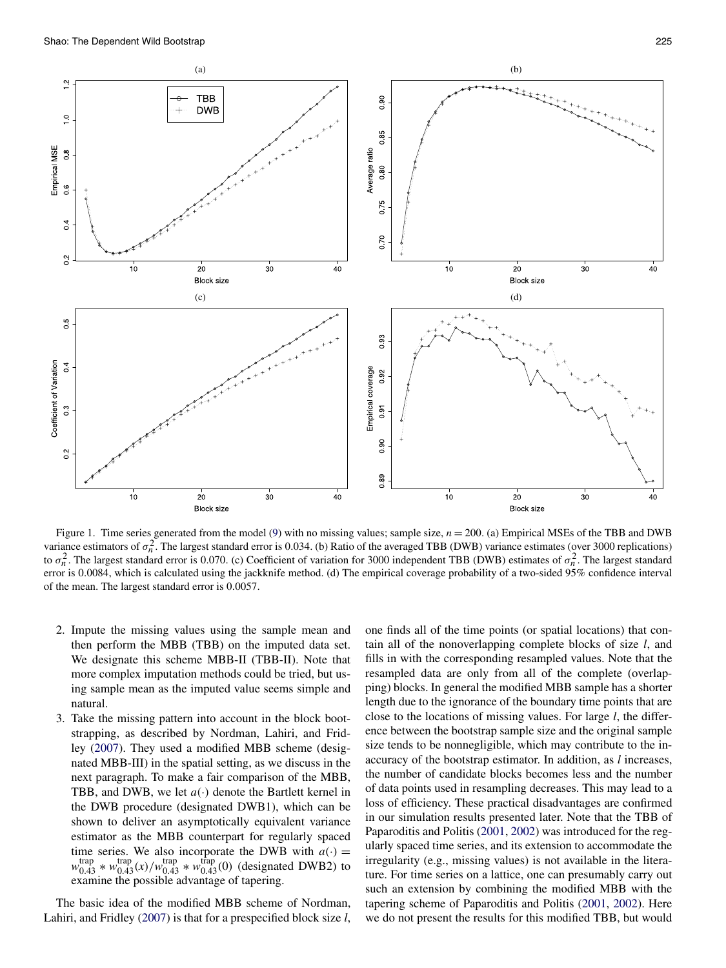<span id="page-7-0"></span>

Figure 1. Time series generated from the model [\(9\)](#page-6-0) with no missing values; sample size,  $n = 200$ . (a) Empirical MSEs of the TBB and DWB variance estimators of  $\sigma_n^2$ . The largest standard error is 0.034. (b) Ratio of the averaged TBB (DWB) variance estimates (over 3000 replications) to  $\sigma_n^2$ . The largest standard error is 0.070. (c) Coefficient of variation for 3000 independent TBB (DWB) estimates of  $\sigma_n^2$ . The largest standard error is 0*.*0084, which is calculated using the jackknife method. (d) The empirical coverage probability of a two-sided 95% confidence interval of the mean. The largest standard error is 0*.*0057.

- 2. Impute the missing values using the sample mean and then perform the MBB (TBB) on the imputed data set. We designate this scheme MBB-II (TBB-II). Note that more complex imputation methods could be tried, but using sample mean as the imputed value seems simple and natural.
- 3. Take the missing pattern into account in the block bootstrapping, as described by Nordman, Lahiri, and Fridley [\(2007\)](#page-17-0). They used a modified MBB scheme (designated MBB-III) in the spatial setting, as we discuss in the next paragraph. To make a fair comparison of the MBB, TBB, and DWB, we let  $a(\cdot)$  denote the Bartlett kernel in the DWB procedure (designated DWB1), which can be shown to deliver an asymptotically equivalent variance estimator as the MBB counterpart for regularly spaced time series. We also incorporate the DWB with  $a(\cdot)$  =  $w_{0.43}^{\text{trap}} * w_{0.43}^{\text{trap}}(x) / w_{0.43}^{\text{trap}} * w_{0.43}^{\text{trap}}(0)$  (designated DWB2) to examine the possible advantage of tapering.

The basic idea of the modified MBB scheme of Nordman, Lahiri, and Fridley [\(2007\)](#page-17-0) is that for a prespecified block size *l*, one finds all of the time points (or spatial locations) that contain all of the nonoverlapping complete blocks of size *l*, and fills in with the corresponding resampled values. Note that the resampled data are only from all of the complete (overlapping) blocks. In general the modified MBB sample has a shorter length due to the ignorance of the boundary time points that are close to the locations of missing values. For large *l*, the difference between the bootstrap sample size and the original sample size tends to be nonnegligible, which may contribute to the inaccuracy of the bootstrap estimator. In addition, as *l* increases, the number of candidate blocks becomes less and the number of data points used in resampling decreases. This may lead to a loss of efficiency. These practical disadvantages are confirmed in our simulation results presented later. Note that the TBB of Paparoditis and Politis [\(2001,](#page-17-0) [2002\)](#page-17-0) was introduced for the regularly spaced time series, and its extension to accommodate the irregularity (e.g., missing values) is not available in the literature. For time series on a lattice, one can presumably carry out such an extension by combining the modified MBB with the tapering scheme of Paparoditis and Politis [\(2001,](#page-17-0) [2002\)](#page-17-0). Here we do not present the results for this modified TBB, but would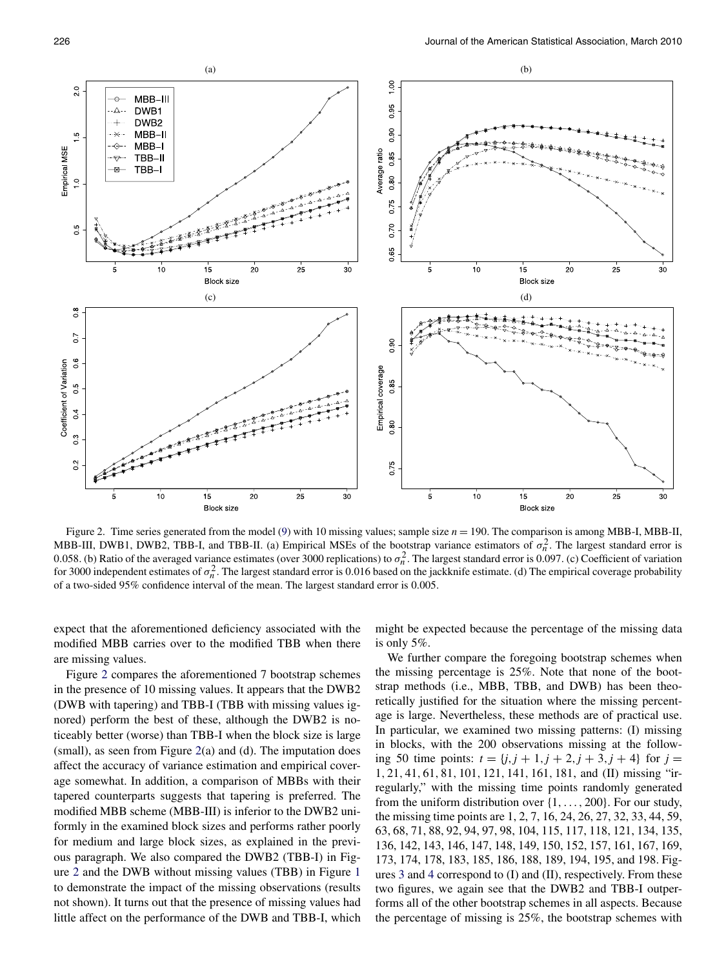

Figure 2. Time series generated from the model [\(9\)](#page-6-0) with 10 missing values; sample size  $n = 190$ . The comparison is among MBB-I, MBB-II, MBB-III, DWB1, DWB2, TBB-I, and TBB-II. (a) Empirical MSEs of the bootstrap variance estimators of  $\sigma_n^2$ . The largest standard error is 0.058. (b) Ratio of the averaged variance estimates (over 3000 replications) to  $\sigma_n^2$ . The largest standard error is 0.097. (c) Coefficient of variation for 3000 independent estimates of  $\sigma_n^2$ . The largest standard error is 0.016 based on the jackknife estimate. (d) The empirical coverage probability of a two-sided 95% confidence interval of the mean. The largest standard error is 0*.*005.

expect that the aforementioned deficiency associated with the modified MBB carries over to the modified TBB when there are missing values.

Figure 2 compares the aforementioned 7 bootstrap schemes in the presence of 10 missing values. It appears that the DWB2 (DWB with tapering) and TBB-I (TBB with missing values ignored) perform the best of these, although the DWB2 is noticeably better (worse) than TBB-I when the block size is large (small), as seen from Figure 2(a) and (d). The imputation does affect the accuracy of variance estimation and empirical coverage somewhat. In addition, a comparison of MBBs with their tapered counterparts suggests that tapering is preferred. The modified MBB scheme (MBB-III) is inferior to the DWB2 uniformly in the examined block sizes and performs rather poorly for medium and large block sizes, as explained in the previous paragraph. We also compared the DWB2 (TBB-I) in Figure 2 and the DWB without missing values (TBB) in Figure [1](#page-7-0) to demonstrate the impact of the missing observations (results not shown). It turns out that the presence of missing values had little affect on the performance of the DWB and TBB-I, which

might be expected because the percentage of the missing data is only 5%.

We further compare the foregoing bootstrap schemes when the missing percentage is 25%. Note that none of the bootstrap methods (i.e., MBB, TBB, and DWB) has been theoretically justified for the situation where the missing percentage is large. Nevertheless, these methods are of practical use. In particular, we examined two missing patterns: (I) missing in blocks, with the 200 observations missing at the following 50 time points: *t* = {*j,j* + 1*,j* + 2*,j* + 3*,j* + 4} for *j* = 1*,* 21*,* 41*,* 61*,* 81*,* 101*,* 121*,* 141*,* 161*,* 181, and (II) missing "irregularly," with the missing time points randomly generated from the uniform distribution over {1*,...,* 200}. For our study, the missing time points are 1, 2, 7, 16, 24, 26, 27, 32, 33, 44, 59, 63, 68, 71, 88, 92, 94, 97, 98, 104, 115, 117, 118, 121, 134, 135, 136, 142, 143, 146, 147, 148, 149, 150, 152, 157, 161, 167, 169, 173, 174, 178, 183, 185, 186, 188, 189, 194, 195, and 198. Figures [3](#page-9-0) and [4](#page-10-0) correspond to (I) and (II), respectively. From these two figures, we again see that the DWB2 and TBB-I outperforms all of the other bootstrap schemes in all aspects. Because the percentage of missing is 25%, the bootstrap schemes with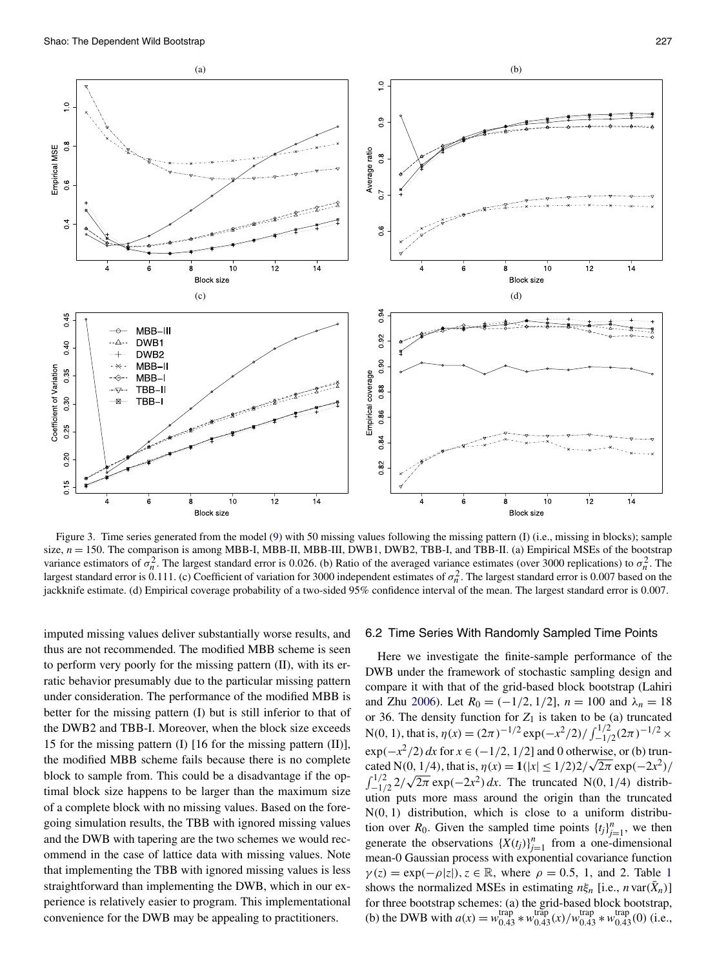<span id="page-9-0"></span>

Figure 3. Time series generated from the model [\(9\)](#page-6-0) with 50 missing values following the missing pattern (I) (i.e., missing in blocks); sample size,  $n = 150$ . The comparison is among MBB-I, MBB-II, MBB-III, DWB1, DWB2, TBB-I, and TBB-II. (a) Empirical MSEs of the bootstrap variance estimators of  $\sigma_n^2$ . The largest standard error is 0.026. (b) Ratio of the averaged variance estimates (over 3000 replications) to  $\sigma_n^2$ . The largest standard error is 0.111. (c) Coefficient of variation for 3000 independent estimates of  $\sigma_n^2$ . The largest standard error is 0.007 based on the jackknife estimate. (d) Empirical coverage probability of a two-sided 95% confidence interval of the mean. The largest standard error is 0*.*007.

imputed missing values deliver substantially worse results, and thus are not recommended. The modified MBB scheme is seen to perform very poorly for the missing pattern (II), with its erratic behavior presumably due to the particular missing pattern under consideration. The performance of the modified MBB is better for the missing pattern (I) but is still inferior to that of the DWB2 and TBB-I. Moreover, when the block size exceeds 15 for the missing pattern (I) [16 for the missing pattern (II)], the modified MBB scheme fails because there is no complete block to sample from. This could be a disadvantage if the optimal block size happens to be larger than the maximum size of a complete block with no missing values. Based on the foregoing simulation results, the TBB with ignored missing values and the DWB with tapering are the two schemes we would recommend in the case of lattice data with missing values. Note that implementing the TBB with ignored missing values is less straightforward than implementing the DWB, which in our experience is relatively easier to program. This implementational convenience for the DWB may be appealing to practitioners.

# 6.2 Time Series With Randomly Sampled Time Points

Here we investigate the finite-sample performance of the DWB under the framework of stochastic sampling design and compare it with that of the grid-based block bootstrap (Lahiri and Zhu [2006\)](#page-17-0). Let  $R_0 = (-1/2, 1/2]$ ,  $n = 100$  and  $\lambda_n = 18$ or 36. The density function for  $Z_1$  is taken to be (a) truncated  $N(0, 1)$ , that is,  $\eta(x) = (2\pi)^{-1/2} \exp(-x^2/2) / \int_{-1/2}^{1/2} (2\pi)^{-1/2} \times$ exp( $-x^2/2$ ) *dx* for *x* ∈ (−1/2, 1/2] and 0 otherwise, or (b) truncated N(0, 1/4), that is,  $\eta(x) = 1/|x| \le 1/2$  and 0 otherwise, or (b) truncted N(0, 1/4), that is,  $\eta(x) = 1/|x| \le 1/2$   $2/(\sqrt{2\pi} \exp(-2x^2))$  $\int_{-1/2}^{1/2} 2/\sqrt{2\pi} \exp(-2x^2) dx$ . The truncated N(0, 1/4) distribution puts more mass around the origin than the truncated N*(*0*,* 1*)* distribution, which is close to a uniform distribution over  $R_0$ . Given the sampled time points  $\{t_j\}_{j=1}^n$ , we then generate the observations  ${X(t_j)}_{j=1}^n$  from a one-dimensional mean-0 Gaussian process with exponential covariance function  $\gamma(z) = \exp(-\rho|z|), z \in \mathbb{R}$ , where  $\rho = 0.5, 1$  $\rho = 0.5, 1$ , and 2. Table 1 shows the normalized MSEs in estimating  $n\xi_n$  [i.e.,  $n \text{var}(\bar{X}_n)$ ] for three bootstrap schemes: (a) the grid-based block bootstrap, (b) the DWB with  $a(x) = w_{0.43}^{\text{trap}} * w_{0.43}^{\text{trap}}(x) / w_{0.43}^{\text{trap}} * w_{0.43}^{\text{trap}}(0)$  (i.e.,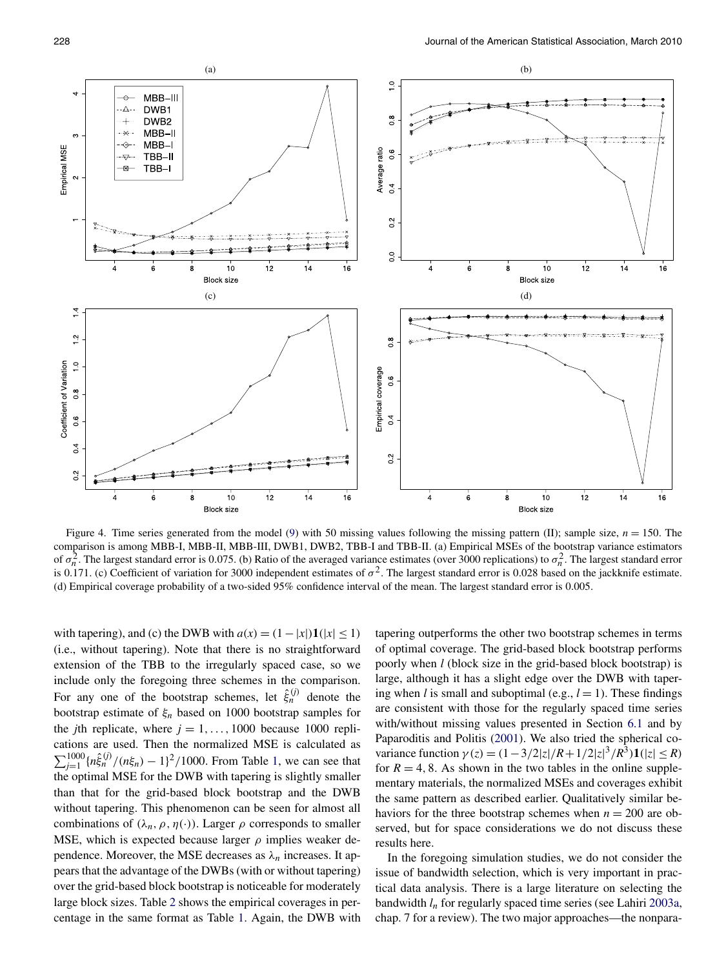<span id="page-10-0"></span>

Figure 4. Time series generated from the model [\(9\)](#page-6-0) with 50 missing values following the missing pattern (II); sample size,  $n = 150$ . The comparison is among MBB-I, MBB-II, MBB-III, DWB1, DWB2, TBB-I and TBB-II. (a) Empirical MSEs of the bootstrap variance estimators of  $\sigma_n^2$ . The largest standard error is 0.075. (b) Ratio of the averaged variance estimates (over 3000 replications) to  $\sigma_n^2$ . The largest standard error is 0.171. (c) Coefficient of variation for 3000 independent estimates of  $\sigma^2$ . The largest standard error is 0.028 based on the jackknife estimate. (d) Empirical coverage probability of a two-sided 95% confidence interval of the mean. The largest standard error is 0*.*005.

with tapering), and *(c)* the DWB with  $a(x) = (1 - |x|) \mathbf{1}(|x| \le 1)$ (i.e., without tapering). Note that there is no straightforward extension of the TBB to the irregularly spaced case, so we include only the foregoing three schemes in the comparison. For any one of the bootstrap schemes, let  $\hat{\xi}_n^{(j)}$  denote the bootstrap estimate of  $\xi_n$  based on 1000 bootstrap samples for the *j*th replicate, where  $j = 1, \ldots, 1000$  because 1000 replications are used. Then the normalized MSE is calculated as  $\sum_{j=1}^{1000} \{n \hat{\xi}_n^{(j)}/(n \xi_n) - 1\}^2 / 1000$ . From Table [1,](#page-11-0) we can see that the optimal MSE for the DWB with tapering is slightly smaller than that for the grid-based block bootstrap and the DWB without tapering. This phenomenon can be seen for almost all combinations of  $(\lambda_n, \rho, \eta(\cdot))$ . Larger  $\rho$  corresponds to smaller MSE, which is expected because larger *ρ* implies weaker dependence. Moreover, the MSE decreases as  $\lambda_n$  increases. It appears that the advantage of the DWBs (with or without tapering) over the grid-based block bootstrap is noticeable for moderately large block sizes. Table [2](#page-12-0) shows the empirical coverages in percentage in the same format as Table [1.](#page-11-0) Again, the DWB with tapering outperforms the other two bootstrap schemes in terms of optimal coverage. The grid-based block bootstrap performs poorly when *l* (block size in the grid-based block bootstrap) is large, although it has a slight edge over the DWB with tapering when *l* is small and suboptimal (e.g.,  $l = 1$ ). These findings are consistent with those for the regularly spaced time series with/without missing values presented in Section [6.1](#page-6-0) and by Paparoditis and Politis [\(2001\)](#page-17-0). We also tried the spherical covariance function  $\gamma(z) = (1 - 3/2|z|/R + 1/2|z|^3/R^3) \mathbf{1}(|z| \le R)$ for  $R = 4$ , 8. As shown in the two tables in the online supplementary materials, the normalized MSEs and coverages exhibit the same pattern as described earlier. Qualitatively similar behaviors for the three bootstrap schemes when  $n = 200$  are observed, but for space considerations we do not discuss these results here.

In the foregoing simulation studies, we do not consider the issue of bandwidth selection, which is very important in practical data analysis. There is a large literature on selecting the bandwidth *ln* for regularly spaced time series (see Lahiri [2003a,](#page-17-0) chap. 7 for a review). The two major approaches—the nonpara-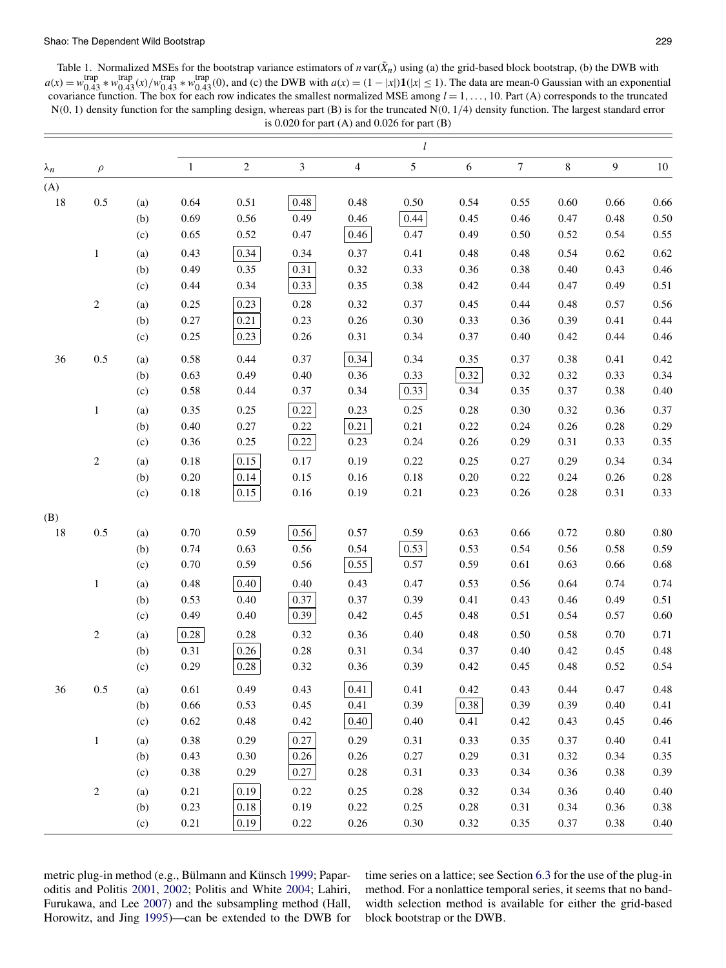<span id="page-11-0"></span>Table 1. Normalized MSEs for the bootstrap variance estimators of  $n \text{var}(\bar{X}_n)$  using (a) the grid-based block bootstrap, (b) the DWB with  $a(x) = w_{0.43}^{\text{trap}} * w_{0.43}^{\text{trap}}(x)/w_{0.43}^{\text{trap}} * w_{0.43}^{\text{trap}}(0)$ , and (c) the DWB with  $a(x) = (1 - |x|)1(|x| \le 1)$ . The data are mean-0 Gaussian with an exponential covariance function. The box for each row indicates the sma N*(*0*,* 1*)* density function for the sampling design, whereas part (B) is for the truncated N*(*0*,* 1*/*4*)* density function. The largest standard error is 0.020 for part (A) and 0.026 for part (B)

|             |                  | $\iota$ |              |            |                |                |          |          |                  |         |      |          |
|-------------|------------------|---------|--------------|------------|----------------|----------------|----------|----------|------------------|---------|------|----------|
| $\lambda_n$ | $\rho$           |         | $\mathbf{1}$ | $\sqrt{2}$ | $\mathfrak{Z}$ | $\overline{4}$ | 5        | 6        | $\boldsymbol{7}$ | $\,8\,$ | 9    | 10       |
| (A)         |                  |         |              |            |                |                |          |          |                  |         |      |          |
| 18          | 0.5              | (a)     | 0.64         | 0.51       | $0.48\,$       | 0.48           | 0.50     | 0.54     | 0.55             | 0.60    | 0.66 | 0.66     |
|             |                  | (b)     | 0.69         | 0.56       | 0.49           | 0.46           | 0.44     | 0.45     | 0.46             | 0.47    | 0.48 | 0.50     |
|             |                  | (c)     | 0.65         | 0.52       | 0.47           | 0.46           | 0.47     | 0.49     | 0.50             | 0.52    | 0.54 | 0.55     |
|             | $\mathbf{1}$     | (a)     | 0.43         | 0.34       | 0.34           | 0.37           | 0.41     | 0.48     | 0.48             | 0.54    | 0.62 | 0.62     |
|             |                  | (b)     | 0.49         | 0.35       | 0.31           | 0.32           | 0.33     | 0.36     | 0.38             | 0.40    | 0.43 | 0.46     |
|             |                  | (c)     | 0.44         | 0.34       | 0.33           | 0.35           | 0.38     | 0.42     | 0.44             | 0.47    | 0.49 | 0.51     |
|             | $\boldsymbol{2}$ | (a)     | 0.25         | 0.23       | 0.28           | 0.32           | 0.37     | 0.45     | 0.44             | 0.48    | 0.57 | 0.56     |
|             |                  | (b)     | 0.27         | 0.21       | 0.23           | 0.26           | 0.30     | 0.33     | 0.36             | 0.39    | 0.41 | 0.44     |
|             |                  | (c)     | 0.25         | 0.23       | 0.26           | 0.31           | 0.34     | 0.37     | 0.40             | 0.42    | 0.44 | 0.46     |
| 36          | 0.5              | (a)     | 0.58         | 0.44       | 0.37           | 0.34           | 0.34     | 0.35     | 0.37             | 0.38    | 0.41 | 0.42     |
|             |                  | (b)     | 0.63         | 0.49       | 0.40           | 0.36           | 0.33     | 0.32     | 0.32             | 0.32    | 0.33 | 0.34     |
|             |                  | (c)     | 0.58         | 0.44       | 0.37           | 0.34           | 0.33     | 0.34     | 0.35             | 0.37    | 0.38 | 0.40     |
|             | $\mathbf{1}$     | (a)     | 0.35         | 0.25       | 0.22           | 0.23           | 0.25     | 0.28     | 0.30             | 0.32    | 0.36 | 0.37     |
|             |                  | (b)     | $0.40\,$     | 0.27       | 0.22           | 0.21           | 0.21     | 0.22     | 0.24             | 0.26    | 0.28 | 0.29     |
|             |                  | (c)     | 0.36         | 0.25       | 0.22           | 0.23           | 0.24     | 0.26     | 0.29             | 0.31    | 0.33 | 0.35     |
|             | $\boldsymbol{2}$ | (a)     | 0.18         | 0.15       | 0.17           | 0.19           | 0.22     | 0.25     | 0.27             | 0.29    | 0.34 | 0.34     |
|             |                  | (b)     | $0.20\,$     | 0.14       | 0.15           | 0.16           | $0.18\,$ | $0.20\,$ | 0.22             | 0.24    | 0.26 | 0.28     |
|             |                  | (c)     | $0.18\,$     | 0.15       | 0.16           | 0.19           | 0.21     | 0.23     | 0.26             | 0.28    | 0.31 | 0.33     |
| (B)         |                  |         |              |            |                |                |          |          |                  |         |      |          |
| 18          | 0.5              | (a)     | 0.70         | 0.59       | 0.56           | 0.57           | 0.59     | 0.63     | 0.66             | 0.72    | 0.80 | $0.80\,$ |
|             |                  | (b)     | 0.74         | 0.63       | 0.56           | 0.54           | 0.53     | 0.53     | 0.54             | 0.56    | 0.58 | 0.59     |
|             |                  | (c)     | $0.70\,$     | 0.59       | 0.56           | 0.55           | 0.57     | 0.59     | 0.61             | 0.63    | 0.66 | 0.68     |
|             | $\mathbf{1}$     | (a)     | 0.48         | $0.40\,$   | 0.40           | 0.43           | 0.47     | 0.53     | 0.56             | 0.64    | 0.74 | 0.74     |
|             |                  | (b)     | 0.53         | 0.40       | 0.37           | 0.37           | 0.39     | 0.41     | 0.43             | 0.46    | 0.49 | 0.51     |
|             |                  | (c)     | 0.49         | 0.40       | 0.39           | 0.42           | 0.45     | 0.48     | 0.51             | 0.54    | 0.57 | 0.60     |
|             | $\boldsymbol{2}$ | (a)     | $0.28\,$     | 0.28       | 0.32           | 0.36           | 0.40     | 0.48     | 0.50             | 0.58    | 0.70 | 0.71     |
|             |                  | (b)     | 0.31         | $0.26\,$   | 0.28           | 0.31           | 0.34     | 0.37     | 0.40             | 0.42    | 0.45 | 0.48     |
|             |                  | (c)     | 0.29         | $0.28\,$   | 0.32           | $0.36\,$       | 0.39     | 0.42     | 0.45             | 0.48    | 0.52 | 0.54     |
| 36          | 0.5              | (a)     | 0.61         | 0.49       | 0.43           | 0.41           | 0.41     | 0.42     | 0.43             | 0.44    | 0.47 | $0.48\,$ |
|             |                  | (b)     | 0.66         | 0.53       | 0.45           | 0.41           | 0.39     | 0.38     | 0.39             | 0.39    | 0.40 | 0.41     |
|             |                  | (c)     | 0.62         | 0.48       | 0.42           | 0.40           | 0.40     | 0.41     | 0.42             | 0.43    | 0.45 | 0.46     |
|             | $\mathbf{1}$     | (a)     | 0.38         | 0.29       | 0.27           | 0.29           | 0.31     | 0.33     | 0.35             | 0.37    | 0.40 | 0.41     |
|             |                  | (b)     | 0.43         | $0.30\,$   | 0.26           | 0.26           | 0.27     | 0.29     | 0.31             | 0.32    | 0.34 | 0.35     |
|             |                  | (c)     | 0.38         | 0.29       | 0.27           | $0.28\,$       | 0.31     | 0.33     | 0.34             | 0.36    | 0.38 | 0.39     |
|             | $\boldsymbol{2}$ | (a)     | 0.21         | 0.19       | 0.22           | 0.25           | 0.28     | 0.32     | 0.34             | 0.36    | 0.40 | 0.40     |
|             |                  | (b)     | 0.23         | 0.18       | 0.19           | $0.22\,$       | 0.25     | 0.28     | 0.31             | 0.34    | 0.36 | 0.38     |
|             |                  | (c)     | 0.21         | 0.19       | 0.22           | 0.26           | 0.30     | 0.32     | 0.35             | 0.37    | 0.38 | $0.40\,$ |

metric plug-in method (e.g., Bülmann and Künsch [1999;](#page-16-0) Paparoditis and Politis [2001,](#page-17-0) [2002;](#page-17-0) Politis and White [2004;](#page-17-0) Lahiri, Furukawa, and Lee [2007\)](#page-17-0) and the subsampling method (Hall, Horowitz, and Jing [1995\)](#page-17-0)—can be extended to the DWB for time series on a lattice; see Section [6.3](#page-13-0) for the use of the plug-in method. For a nonlattice temporal series, it seems that no bandwidth selection method is available for either the grid-based block bootstrap or the DWB.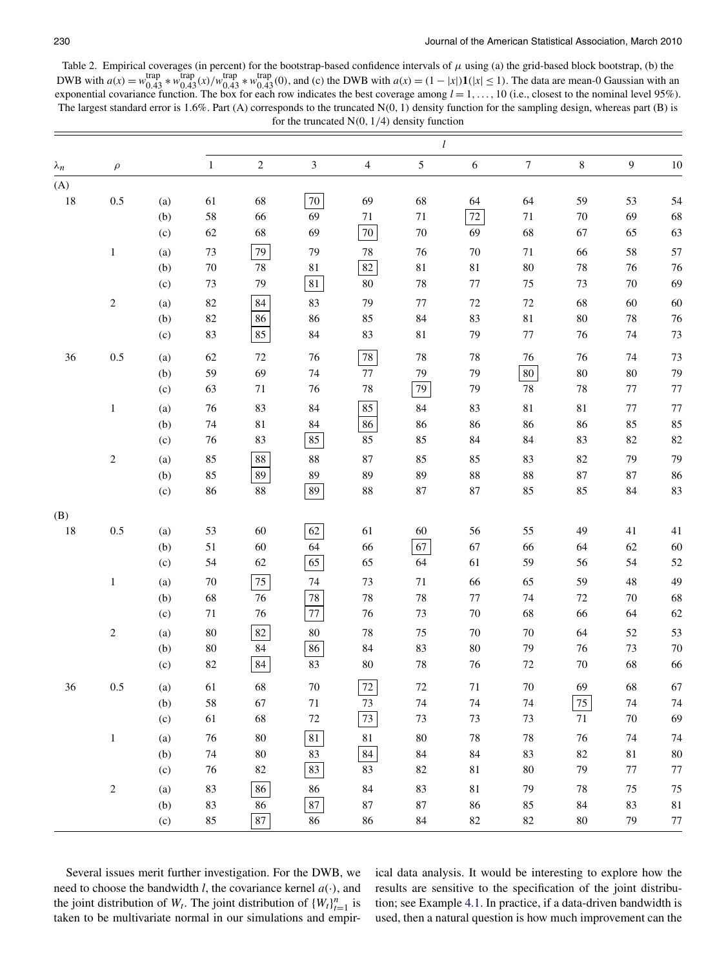<span id="page-12-0"></span>Table 2. Empirical coverages (in percent) for the bootstrap-based confidence intervals of *μ* using (a) the grid-based block bootstrap, (b) the DWB with  $a(x) = w_{0.43}^{\text{trap}} * w_{0.43}^{\text{trap}}(x)/w_{0.43}^{\text{trap}} * w_{0.43}^{\text{trap}}(0)$ , and (c) the DWB with  $a(x) = (1 - |x|)1(|x| \le 1)$ . The data are mean-0 Gaussian with an exponential covariance function. The box for each row indicate The largest standard error is 1*.*6%. Part (A) corresponds to the truncated N*(*0*,* 1*)* density function for the sampling design, whereas part (B) is for the truncated N*(*0*,* 1*/*4*)* density function

|                               |                  |     | $\boldsymbol{l}$ |             |                |                |                |            |                  |        |                  |        |
|-------------------------------|------------------|-----|------------------|-------------|----------------|----------------|----------------|------------|------------------|--------|------------------|--------|
| $\frac{\lambda_n}{\lambda_n}$ | $\rho$           |     | $\mathbf{1}$     | $\sqrt{2}$  | $\mathfrak{Z}$ | $\overline{4}$ | $\mathfrak{S}$ | $\sqrt{6}$ | $\boldsymbol{7}$ | $8\,$  | $\boldsymbol{9}$ | $10\,$ |
| (A)                           |                  |     |                  |             |                |                |                |            |                  |        |                  |        |
| $18\,$                        | 0.5              | (a) | 61               | 68          | $70\,$         | 69             | 68             | 64         | 64               | 59     | 53               | 54     |
|                               |                  | (b) | 58               | 66          | 69             | 71             | $71\,$         | $72\,$     | $71\,$           | $70\,$ | 69               | 68     |
|                               |                  | (c) | 62               | 68          | 69             | $70\,$         | $70\,$         | 69         | 68               | 67     | 65               | 63     |
|                               | $\,1\,$          | (a) | 73               | 79          | 79             | 78             | $76\,$         | $70\,$     | $71\,$           | 66     | 58               | 57     |
|                               |                  | (b) | $70\,$           | $78\,$      | $81\,$         | $82\,$         | $81\,$         | $81\,$     | 80               | $78\,$ | 76               | $76\,$ |
|                               |                  | (c) | 73               | 79          | $81\,$         | $80\,$         | $78\,$         | $77\,$     | 75               | $73\,$ | $70\,$           | 69     |
|                               | $\boldsymbol{2}$ | (a) | $82\,$           | 84          | 83             | 79             | $77\,$         | $72\,$     | $72\,$           | 68     | 60               | 60     |
|                               |                  | (b) | $82\,$           | 86          | 86             | 85             | $\bf 84$       | 83         | $8\sqrt{1}$      | $80\,$ | 78               | $76\,$ |
|                               |                  | (c) | 83               | 85          | 84             | 83             | $81\,$         | 79         | $77\,$           | 76     | 74               | $73\,$ |
| 36                            | 0.5              | (a) | 62               | $72\,$      | 76             | $78\,$         | $78\,$         | $78\,$     | $76\,$           | 76     | 74               | $73\,$ |
|                               |                  | (b) | 59               | 69          | $74\,$         | 77             | 79             | 79         | $80\,$           | $80\,$ | $80\,$           | 79     |
|                               |                  | (c) | 63               | $71\,$      | 76             | $78\,$         | 79             | 79         | $78\,$           | $78\,$ | $77\,$           | $77\,$ |
|                               | $\,1$            | (a) | $76\,$           | 83          | 84             | 85             | $\bf 84$       | 83         | $8\sqrt{1}$      | $81\,$ | 77               | $77\,$ |
|                               |                  | (b) | $74\,$           | $8\sqrt{1}$ | $\bf 84$       | 86             | 86             | 86         | 86               | 86     | 85               | 85     |
|                               |                  | (c) | $76\,$           | 83          | 85             | 85             | 85             | 84         | 84               | 83     | $82\,$           | $82\,$ |
|                               | $\overline{c}$   | (a) | 85               | $88\,$      | 88             | $87\,$         | 85             | 85         | 83               | 82     | 79               | 79     |
|                               |                  | (b) | 85               | $89\,$      | 89             | 89             | 89             | $88\,$     | $88\,$           | $87\,$ | 87               | 86     |
|                               |                  | (c) | 86               | $88\,$      | 89             | $88\,$         | $87\,$         | $87\,$     | 85               | 85     | 84               | 83     |
| (B)                           |                  |     |                  |             |                |                |                |            |                  |        |                  |        |
| 18                            | 0.5              | (a) | 53               | 60          | 62             | 61             | 60             | 56         | 55               | 49     | $41\,$           | $41\,$ |
|                               |                  | (b) | 51               | 60          | 64             | 66             | 67             | 67         | 66               | 64     | 62               | 60     |
|                               |                  | (c) | 54               | 62          | 65             | 65             | 64             | 61         | 59               | 56     | 54               | 52     |
|                               | $\mathbf{1}$     | (a) | $70\,$           | 75          | 74             | 73             | $71\,$         | 66         | 65               | 59     | 48               | 49     |
|                               |                  | (b) | 68               | $76\,$      | $78\,$         | $78\,$         | $78\,$         | $77\,$     | $74\,$           | $72\,$ | $70\,$           | 68     |
|                               |                  | (c) | $71\,$           | $76\,$      | $77\,$         | $76\,$         | $73\,$         | $70\,$     | 68               | 66     | 64               | 62     |
|                               | $\overline{c}$   | (a) | $80\,$           | $82\,$      | $80\,$         | 78             | 75             | $70\,$     | $70\,$           | 64     | 52               | 53     |
|                               |                  | (b) | $80\,$           | $\bf 84$    | 86             | $\bf 84$       | 83             | 80         | 79               | 76     | 73               | $70\,$ |
|                               |                  | (c) | $82\,$           | $\bf 84$    | 83             | $80\,$         | $78\,$         | 76         | 72               | $70\,$ | 68               | 66     |
| 36                            | 0.5              | (a) | 61               | 68          | $70\,$         | 72             | $72\,$         | 71         | $70\,$           | 69     | 68               | 67     |
|                               |                  | (b) | 58               | 67          | 71             | 73             | $74\,$         | $74\,$     | 74               | 75     | $74\,$           | $74\,$ |
|                               |                  | (c) | 61               | 68          | $72\,$         | 73             | $73\,$         | $73\,$     | $73\,$           | 71     | $70\,$           | 69     |
|                               | $\,1$            | (a) | $76\,$           | $80\,$      | 81             | 81             | $80\,$         | $78\,$     | 78               | 76     | 74               | $74\,$ |
|                               |                  | (b) | $74\,$           | $80\,$      | 83             | $84\,$         | $\bf 84$       | $\bf 84$   | 83               | 82     | $8\sqrt{1}$      | $80\,$ |
|                               |                  | (c) | $76\,$           | $82\,$      | 83             | 83             | $82\,$         | $81\,$     | $80\,$           | 79     | $77\,$           | $77\,$ |
|                               | $\overline{c}$   | (a) | 83               | 86          | 86             | $\bf 84$       | 83             | $81\,$     | 79               | $78\,$ | 75               | $75\,$ |
|                               |                  | (b) | 83               | 86          | $87\,$         | $87\,$         | $87\,$         | 86         | 85               | 84     | 83               | $81\,$ |
|                               |                  | (c) | 85               | 87          | 86             | 86             | $\bf 84$       | $82\,$     | 82               | $80\,$ | 79               | $77\,$ |

Several issues merit further investigation. For the DWB, we need to choose the bandwidth *l*, the covariance kernel  $a(\cdot)$ , and the joint distribution of  $W_t$ . The joint distribution of  $\{W_t\}_{t=1}^n$  is taken to be multivariate normal in our simulations and empirical data analysis. It would be interesting to explore how the results are sensitive to the specification of the joint distribution; see Example [4.1.](#page-5-0) In practice, if a data-driven bandwidth is used, then a natural question is how much improvement can the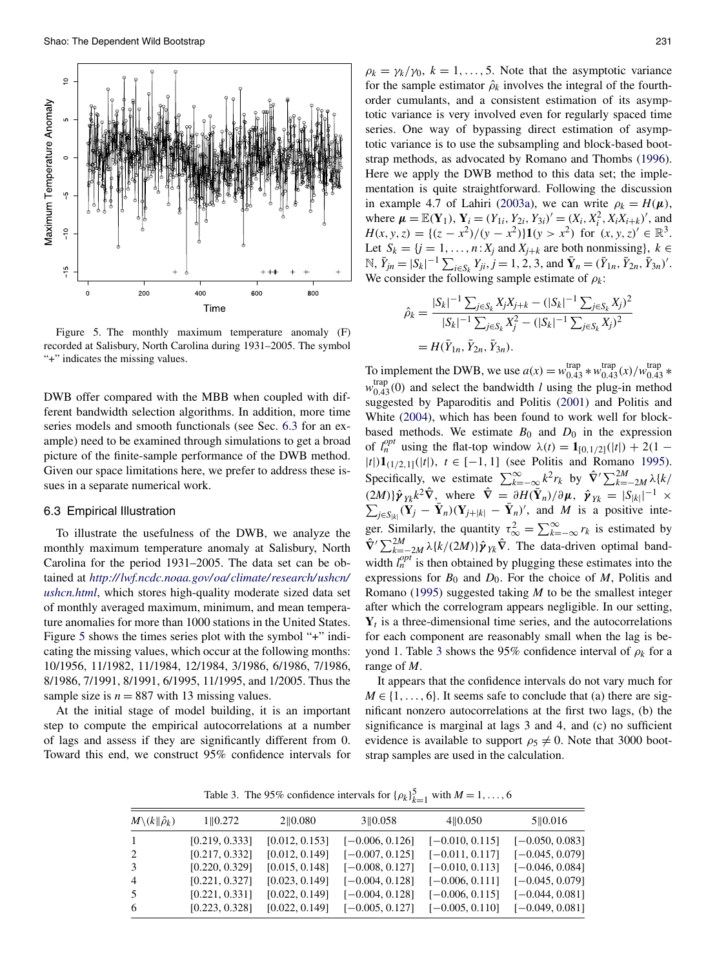<span id="page-13-0"></span>

Figure 5. The monthly maximum temperature anomaly (F) recorded at Salisbury, North Carolina during 1931–2005. The symbol "+" indicates the missing values.

DWB offer compared with the MBB when coupled with different bandwidth selection algorithms. In addition, more time series models and smooth functionals (see Sec. 6.3 for an example) need to be examined through simulations to get a broad picture of the finite-sample performance of the DWB method. Given our space limitations here, we prefer to address these issues in a separate numerical work.

### 6.3 Empirical Illustration

To illustrate the usefulness of the DWB, we analyze the monthly maximum temperature anomaly at Salisbury, North Carolina for the period 1931–2005. The data set can be obtained at *[http://lwf.ncdc.noaa.gov/ oa/climate/ research/ ushcn/](http://lwf.ncdc.noaa.gov/oa/climate/research/ushcn/ushcn.html) [ushcn.html](http://lwf.ncdc.noaa.gov/oa/climate/research/ushcn/ushcn.html)*, which stores high-quality moderate sized data set of monthly averaged maximum, minimum, and mean temperature anomalies for more than 1000 stations in the United States. Figure 5 shows the times series plot with the symbol "+" indicating the missing values, which occur at the following months: 10/1956, 11/1982, 11/1984, 12/1984, 3/1986, 6/1986, 7/1986, 8/1986, 7/1991, 8/1991, 6/1995, 11/1995, and 1/2005. Thus the sample size is  $n = 887$  with 13 missing values.

At the initial stage of model building, it is an important step to compute the empirical autocorrelations at a number of lags and assess if they are significantly different from 0. Toward this end, we construct 95% confidence intervals for  $\rho_k = \gamma_k / \gamma_0$ ,  $k = 1, \ldots, 5$ . Note that the asymptotic variance for the sample estimator  $\hat{\rho}_k$  involves the integral of the fourthorder cumulants, and a consistent estimation of its asymptotic variance is very involved even for regularly spaced time series. One way of bypassing direct estimation of asymptotic variance is to use the subsampling and block-based bootstrap methods, as advocated by Romano and Thombs [\(1996\)](#page-17-0). Here we apply the DWB method to this data set; the implementation is quite straightforward. Following the discussion in example 4.7 of Lahiri [\(2003a\)](#page-17-0), we can write  $\rho_k = H(\mu)$ , where  $\mu = \mathbb{E}(\mathbf{Y}_1)$ ,  $\mathbf{Y}_i = (Y_{1i}, Y_{2i}, Y_{3i})' = (X_i, X_i^2, X_iX_{i+k})'$ , and  $H(x, y, z) = \{(z - x^2)/(y - x^2)\}\mathbf{1}(y > x^2)$  for  $(x, y, z)' \in \mathbb{R}^3$ . Let  $S_k = \{j = 1, \ldots, n : X_j \text{ and } X_{j+k} \text{ are both nonmissing}\}, k \in$  $\overline{N}, \ \overline{Y}_{jn} = |S_k|^{-1} \sum_{i \in S_k} Y_{ji}, j = 1, 2, 3, \text{ and } \overline{Y}_n = (\overline{Y}_{1n}, \overline{Y}_{2n}, \overline{Y}_{3n})'.$ We consider the following sample estimate of  $\rho_k$ :

$$
\hat{\rho}_k = \frac{|S_k|^{-1} \sum_{j \in S_k} X_j X_{j+k} - (|S_k|^{-1} \sum_{j \in S_k} X_j)^2}{|S_k|^{-1} \sum_{j \in S_k} X_j^2 - (|S_k|^{-1} \sum_{j \in S_k} X_j)^2}
$$
  
=  $H(\bar{Y}_{1n}, \bar{Y}_{2n}, \bar{Y}_{3n}).$ 

To implement the DWB, we use  $a(x) = w_{0.43}^{\text{trap}} * w_{0.43}^{\text{trap}}(x) / w_{0.43}^{\text{trap}} *$  $w_{0.43}^{\text{trap}}(0)$  and select the bandwidth *l* using the plug-in method suggested by Paparoditis and Politis [\(2001\)](#page-17-0) and Politis and White [\(2004\)](#page-17-0), which has been found to work well for blockbased methods. We estimate  $B_0$  and  $D_0$  in the expression of  $l_n^{opt}$  using the flat-top window  $\lambda(t) = 1_{[0,1/2]}(|t|) + 2(1 |t|$ **)1**<sub>(1/2,1]</sub>( $|t|$ ),  $t \in [-1, 1]$  (see Politis and Romano [1995\)](#page-17-0). Specifically, we estimate  $\sum_{k=-\infty}^{\infty} k^2 r_k$  by  $\hat{\nabla}' \sum_{k=-2M}^{2M} \lambda \{k/2\}$  $(2M)$ } $\hat{\gamma}_{Yk}k^2\hat{\nabla}$ , where  $\hat{\nabla} = \partial H(\bar{Y}_n)/\partial \mu$ ,  $\hat{\gamma}_{Yk} = |S_{|k|}|^{-1} \times$  $\sum_{j \in S|k|} (\mathbf{Y}_j - \bar{\mathbf{Y}}_n)(\mathbf{Y}_{j+|k|} - \bar{\mathbf{Y}}_n)'$ , and *M* is a positive integer. Similarly, the quantity  $\tau_{\infty}^2 = \sum_{k=-\infty}^{\infty} r_k$  is estimated by  $\hat{\nabla}' \sum_{k=-2M}^{2M} \lambda \{k/(2M)\} \hat{\pmb{\gamma}}_{Yk} \hat{\nabla}$ . The data-driven optimal bandwidth  $l_n^{opt}$  is then obtained by plugging these estimates into the expressions for  $B_0$  and  $D_0$ . For the choice of  $M$ , Politis and Romano [\(1995\)](#page-17-0) suggested taking *M* to be the smallest integer after which the correlogram appears negligible. In our setting,  $Y_t$  is a three-dimensional time series, and the autocorrelations for each component are reasonably small when the lag is beyond 1. Table 3 shows the 95% confidence interval of *ρ<sup>k</sup>* for a range of *M*.

It appears that the confidence intervals do not vary much for  $M \in \{1, \ldots, 6\}$ . It seems safe to conclude that (a) there are significant nonzero autocorrelations at the first two lags, (b) the significance is marginal at lags 3 and 4*,* and (c) no sufficient evidence is available to support  $\rho_5 \neq 0$ . Note that 3000 bootstrap samples are used in the calculation.

Table 3. The 95% confidence intervals for  $\{\rho_k\}_{k=1}^5$  with  $M = 1, ..., 6$ 

| $M \backslash (k \Vert \hat{\rho}_k)$ | 1  0.272       | 2  0.080       | 3  0.058          | 4  0.050          | 5  0.016          |
|---------------------------------------|----------------|----------------|-------------------|-------------------|-------------------|
| 1                                     | [0.219, 0.333] | [0.012, 0.153] | $[-0.006, 0.126]$ | $[-0.010, 0.115]$ | $[-0.050, 0.083]$ |
| 2                                     | [0.217, 0.332] | [0.012, 0.149] | $[-0.007, 0.125]$ | $[-0.011, 0.117]$ | $[-0.045, 0.079]$ |
| 3                                     | [0.220, 0.329] | [0.015, 0.148] | $[-0.008, 0.127]$ | $[-0.010, 0.113]$ | $[-0.046, 0.084]$ |
| 4                                     | [0.221, 0.327] | [0.023, 0.149] | $[-0.004, 0.128]$ | $[-0.006, 0.111]$ | $[-0.045, 0.079]$ |
| 5                                     | [0.221, 0.331] | [0.022, 0.149] | $[-0.004, 0.128]$ | $[-0.006, 0.115]$ | $[-0.044, 0.081]$ |
| 6                                     | [0.223, 0.328] | [0.022, 0.149] | $[-0.005, 0.127]$ | $[-0.005, 0.110]$ | $[-0.049, 0.081]$ |
|                                       |                |                |                   |                   |                   |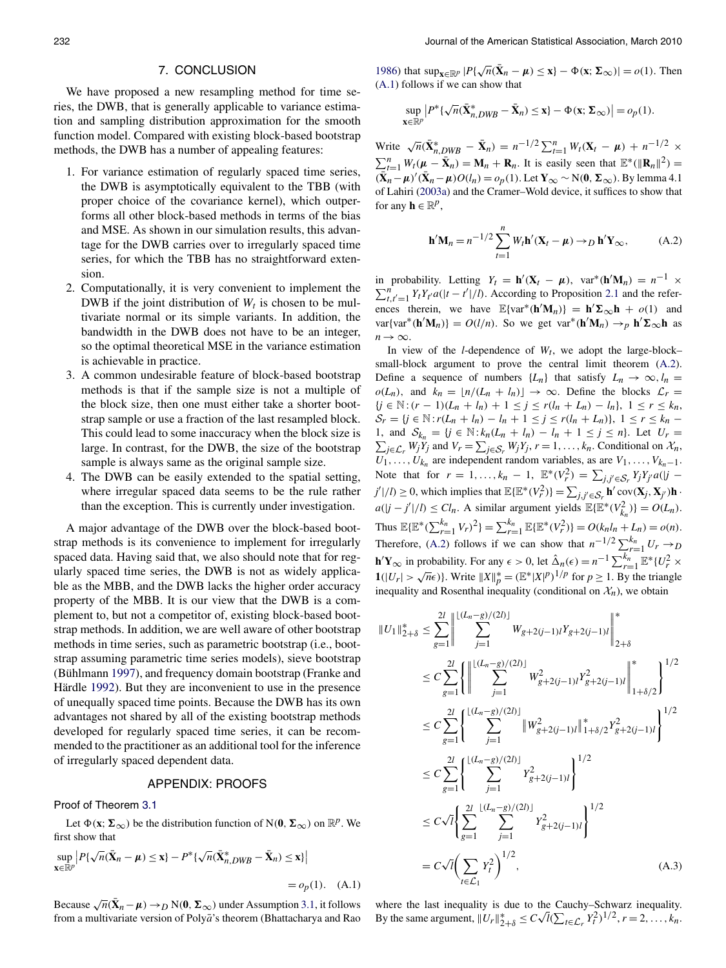## 7. CONCLUSION

<span id="page-14-0"></span>We have proposed a new resampling method for time series, the DWB, that is generally applicable to variance estimation and sampling distribution approximation for the smooth function model. Compared with existing block-based bootstrap methods, the DWB has a number of appealing features:

- 1. For variance estimation of regularly spaced time series, the DWB is asymptotically equivalent to the TBB (with proper choice of the covariance kernel), which outperforms all other block-based methods in terms of the bias and MSE. As shown in our simulation results, this advantage for the DWB carries over to irregularly spaced time series, for which the TBB has no straightforward extension.
- 2. Computationally, it is very convenient to implement the DWB if the joint distribution of  $W_t$  is chosen to be multivariate normal or its simple variants. In addition, the bandwidth in the DWB does not have to be an integer, so the optimal theoretical MSE in the variance estimation is achievable in practice.
- 3. A common undesirable feature of block-based bootstrap methods is that if the sample size is not a multiple of the block size, then one must either take a shorter bootstrap sample or use a fraction of the last resampled block. This could lead to some inaccuracy when the block size is large. In contrast, for the DWB, the size of the bootstrap sample is always same as the original sample size.
- 4. The DWB can be easily extended to the spatial setting, where irregular spaced data seems to be the rule rather than the exception. This is currently under investigation.

A major advantage of the DWB over the block-based bootstrap methods is its convenience to implement for irregularly spaced data. Having said that, we also should note that for regularly spaced time series, the DWB is not as widely applicable as the MBB, and the DWB lacks the higher order accuracy property of the MBB. It is our view that the DWB is a complement to, but not a competitor of, existing block-based bootstrap methods. In addition, we are well aware of other bootstrap methods in time series, such as parametric bootstrap (i.e., bootstrap assuming parametric time series models), sieve bootstrap (Bühlmann [1997\)](#page-16-0), and frequency domain bootstrap (Franke and Härdle [1992\)](#page-16-0). But they are inconvenient to use in the presence of unequally spaced time points. Because the DWB has its own advantages not shared by all of the existing bootstrap methods developed for regularly spaced time series, it can be recommended to the practitioner as an additional tool for the inference of irregularly spaced dependent data.

#### APPENDIX: PROOFS

Proof of Theorem [3.1](#page-3-0)

Let  $\Phi(\mathbf{x}; \Sigma_{\infty})$  be the distribution function of N(0,  $\Sigma_{\infty}$ ) on  $\mathbb{R}^p$ . We first show that

$$
\sup_{\mathbf{x}\in\mathbb{R}^p} \left| P\{\sqrt{n}(\bar{\mathbf{X}}_n - \boldsymbol{\mu}) \le \mathbf{x}\} - P^*\{\sqrt{n}(\bar{\mathbf{X}}_{n,DWB}^* - \bar{\mathbf{X}}_n) \le \mathbf{x}\} \right|
$$
  
=  $o_p(1)$ . (A.1)

Because  $\sqrt{n}(\bar{\mathbf{X}}_n - \boldsymbol{\mu}) \rightarrow_D N(\mathbf{0}, \Sigma_{\infty})$  under Assumption [3.1,](#page-3-0) it follows from a multivariate version of Polya's theorem (Bhattacharya and Rao

[1986\)](#page-16-0) that  $\sup_{\mathbf{x} \in \mathbb{R}^p} |P\{\sqrt{n}(\bar{\mathbf{X}}_n - \boldsymbol{\mu}) \leq \mathbf{x}\} - \Phi(\mathbf{x}; \Sigma_\infty)| = o(1)$ . Then (A.1) follows if we can show that

$$
\sup_{\mathbf{x}\in\mathbb{R}^p} \left| P^* \{ \sqrt{n} (\bar{\mathbf{X}}_{n,DWB}^* - \bar{\mathbf{X}}_n) \leq \mathbf{x} \} - \Phi(\mathbf{x}; \Sigma_\infty) \right| = o_p(1).
$$

Write  $\sqrt{n}(\bar{\mathbf{X}}_{n,DWB}^* - \bar{\mathbf{X}}_n) = n^{-1/2} \sum_{t=1}^n W_t(\mathbf{X}_t - \boldsymbol{\mu}) + n^{-1/2} \times$  $\sum_{t=1}^{n} W_t(\mu - \bar{\mathbf{X}}_n) = \mathbf{M}_n + \mathbf{R}_n$ . It is easily seen that  $\mathbb{E}^*(\|\mathbf{R}_n\|^2) =$  $(\bar{\mathbf{X}}_n - \mu)'(\bar{\mathbf{X}}_n - \mu)O(l_n) = o_p(1)$ . Let  $\mathbf{Y}_{\infty} \sim \mathbf{N}(\mathbf{0}, \Sigma_{\infty})$ . By lemma 4.1 of Lahiri [\(2003a\)](#page-17-0) and the Cramer–Wold device, it suffices to show that for any  $h \in \mathbb{R}^p$ ,

$$
\mathbf{h}'\mathbf{M}_n = n^{-1/2} \sum_{t=1}^n W_t \mathbf{h}'(\mathbf{X}_t - \boldsymbol{\mu}) \to_D \mathbf{h}'\mathbf{Y}_{\infty},
$$
 (A.2)

in probability. Letting  $Y_t = \mathbf{h}'(\mathbf{X}_t - \boldsymbol{\mu})$ ,  $var^*(\mathbf{h}'\mathbf{M}_n) = n^{-1} \times \nabla^n$  *v.y.g(|t - t'||l)*. According to Proposition 2.1 and the referin probability. Letting  $Y_t = \mathbf{h}'(\mathbf{X}_t - \boldsymbol{\mu})$ ,  $var^*(\mathbf{h}'\mathbf{M}_n) = n^{-1} \times \sum_{t,t'=1}^n Y_t Y_{t'} a(|t-t'|/l)$ . According to Proposition [2.1](#page-2-0) and the references therein, we have  $\mathbb{E}\{\text{var}^*(\mathbf{h}'\mathbf{M}_n)\} = \mathbf{h}'\mathbf{\Sigma}_{\infty}\mathbf{h} + o(1)$  and var{var<sup>\*</sup>(**h**<sup>'</sup>**M**<sub>n</sub>)} =  $O(l/n)$ . So we get var<sup>\*</sup>(**h**<sup>'</sup>**M**<sub>n</sub>) →  $_p$  **h**<sup>'</sup> $\Sigma_{\infty}$ **h** as  $n \rightarrow \infty$ .

In view of the *l*-dependence of  $W_t$ , we adopt the large-block– small-block argument to prove the central limit theorem (A.2). Define a sequence of numbers  $\{L_n\}$  that satisfy  $L_n \to \infty$ ,  $l_n =$  $o(L_n)$ , and  $k_n = \lfloor n/(L_n + l_n) \rfloor \rightarrow \infty$ . Define the blocks  $\mathcal{L}_r =$ *{* $j \in \mathbb{N}: (r-1)(L_n + l_n) + 1 \leq j \leq r(l_n + L_n) - l_n$ }, 1 ≤  $r \leq k_n$ ,  $S_r = \{j \in \mathbb{N} : r(L_n + l_n) - l_n + 1 \le j \le r(l_n + l_n)\}, \ 1 \le r \le k_n$ 1, and  $S_{k_n} = \{j \in \mathbb{N} : k_n(L_n + l_n) - l_n + 1 \le j \le n\}$ . Let  $U_r =$  $\sum_{j \in \mathcal{L}_r} W_j Y_j$  and  $V_r = \sum_{j \in \mathcal{S}_r} W_j Y_j$ ,  $r = 1, \ldots, k_n$ . Conditional on  $\mathcal{X}_n$ ,  $U_1, \ldots, U_{k_n}$  are independent random variables, as are  $V_1, \ldots, V_{k_n-1}$ . Note that for  $r = 1, ..., k_n - 1$ ,  $\mathbb{E}^*(V_r^2) = \sum_{j,j' \in S_r} Y_j Y_j^2 a(j$  $j'|/l| \ge 0$ , which implies that  $\mathbb{E}\{\mathbb{E}^*(V_r^2)\} = \sum_{j,j' \in S_r} \mathbf{h}' \operatorname{cov}(\mathbf{X}_j, \mathbf{X}_{j'}) \mathbf{h}$  $a(j - j'|/l) \leq Cl_n$ . A similar argument yields  $\mathbb{E}\{\mathbb{E}^*(V_{k_n}^2)\} = O(L_n)$ . Thus  $\mathbb{E}\{\mathbb{E}^*(\sum_{r=1}^{k_n} V_r)^2\} = \sum_{r=1}^{k_n} \mathbb{E}\{\mathbb{E}^*(V_r^2)\} = O(k_n l_n + L_n) = o(n).$ Therefore, (A.2) follows if we can show that  $n^{-1/2} \sum_{r=1}^{k_n} U_r \rightarrow D$ **h'Y**<sub>∞</sub> in probability. For any  $\epsilon > 0$ , let  $\hat{\Delta}_n(\epsilon) = n^{-1} \sum_{r=1}^{k_n} \mathbb{E}^*(U_r^2 \times$ **1**( $|U_r| > \sqrt{n\epsilon}$ ). Write  $||X||_p^* = (\mathbb{E}^* |X|^p)^{1/p}$  for  $p \ge 1$ . By the triangle inequality and Rosenthal inequality (conditional on  $\mathcal{X}_n$ ), we obtain

$$
U_{1} \|_{2+\delta}^{*} \leq \sum_{g=1}^{2l} \left\| \sum_{j=1}^{\lfloor (L_{n}-g)/(2l) \rfloor} W_{g+2(j-1)l} Y_{g+2(j-1)l} \right\|_{2+\delta}^{*}
$$
  
\n
$$
\leq C \sum_{g=1}^{2l} \left\{ \left\| \sum_{j=1}^{\lfloor (L_{n}-g)/(2l) \rfloor} W_{g+2(j-1)l}^2 Y_{g+2(j-1)l}^2 \right\|_{1+\delta/2}^{*} \right\}^{1/2}
$$
  
\n
$$
\leq C \sum_{g=1}^{2l} \left\{ \sum_{j=1}^{\lfloor (L_{n}-g)/(2l) \rfloor} \|W_{g+2(j-1)l}^2\|_{1+\delta/2}^{*} Y_{g+2(j-1)l}^2 \right\}^{1/2}
$$
  
\n
$$
\leq C \sum_{g=1}^{2l} \left\{ \sum_{j=1}^{\lfloor (L_{n}-g)/(2l) \rfloor} Y_{g+2(j-1)l}^2 \right\}^{1/2}
$$
  
\n
$$
\leq C \sqrt{l} \left\{ \sum_{g=1}^{2l} \sum_{j=1}^{\lfloor (L_{n}-g)/(2l) \rfloor} Y_{g+2(j-1)l}^2 \right\}^{1/2}
$$
  
\n
$$
= C \sqrt{l} \left( \sum_{t \in \mathcal{L}_1} Y_t^2 \right)^{1/2}, \qquad (A.3)
$$

*U*1∗

where the last inequality is due to the Cauchy–Schwarz inequality. By the same argument,  $||U_r||_{2+\delta}^* \le C\sqrt{l}(\sum_{t \in \mathcal{L}_r} Y_t^2)^{1/2}, r = 2, ..., k_n$ .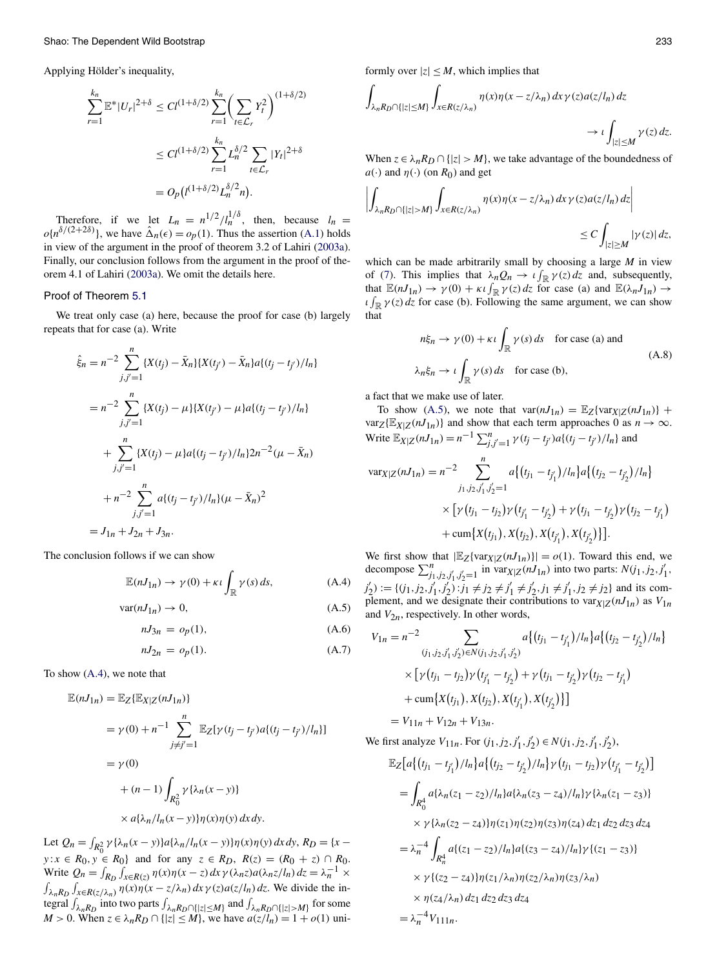<span id="page-15-0"></span>Applying Hölder's inequality,

$$
\sum_{r=1}^{k_n} \mathbb{E}^* |U_r|^{2+\delta} \le C l^{(1+\delta/2)} \sum_{r=1}^{k_n} \left( \sum_{t \in \mathcal{L}_r} Y_t^2 \right)^{(1+\delta/2)}
$$
  

$$
\le C l^{(1+\delta/2)} \sum_{r=1}^{k_n} L_n^{\delta/2} \sum_{t \in \mathcal{L}_r} |Y_t|^{2+\delta}
$$
  

$$
= O_p(l^{(1+\delta/2)} L_n^{\delta/2} n).
$$

Therefore, if we let  $L_n = n^{1/2} / l_n^{1/\delta}$ , then, because  $l_n =$  $o\{n^{\delta/(2+2\delta)}\}$ , we have  $\hat{\Delta}_n(\epsilon) = o_p(1)$ . Thus the assertion [\(A.1\)](#page-14-0) holds in view of the argument in the proof of theorem 3.2 of Lahiri [\(2003a\)](#page-17-0). Finally, our conclusion follows from the argument in the proof of theorem 4.1 of Lahiri [\(2003a\)](#page-17-0). We omit the details here.

#### Proof of Theorem [5.1](#page-6-0)

We treat only case (a) here, because the proof for case (b) largely repeats that for case (a). Write

$$
\hat{\xi}_n = n^{-2} \sum_{j,j'=1}^n \{X(t_j) - \bar{X}_n\} \{X(t_{j'}) - \bar{X}_n\} a \{(t_j - t_{j'})/l_n\}
$$
\n
$$
= n^{-2} \sum_{j,j'=1}^n \{X(t_j) - \mu\} \{X(t_{j'}) - \mu\} a \{(t_j - t_{j'})/l_n\}
$$
\n
$$
+ \sum_{j,j'=1}^n \{X(t_j) - \mu\} a \{(t_j - t_{j'})/l_n\} 2n^{-2} (\mu - \bar{X}_n)
$$
\n
$$
+ n^{-2} \sum_{j,j'=1}^n a \{(t_j - t_{j'})/l_n\} (\mu - \bar{X}_n)^2
$$
\n
$$
= J_{1n} + J_{2n} + J_{3n}.
$$

The conclusion follows if we can show

$$
\mathbb{E}(nJ_{1n}) \to \gamma(0) + \kappa \iota \int_{\mathbb{R}} \gamma(s) \, ds,\tag{A.4}
$$

$$
var(nJ_{1n}) \to 0,\tag{A.5}
$$

$$
nJ_{3n} = o_p(1),\tag{A.6}
$$

$$
nJ_{2n} = o_p(1). \tag{A.7}
$$

To show (A.4), we note that

$$
\mathbb{E}(nJ_{1n}) = \mathbb{E}_Z \{\mathbb{E}_{X|Z}(nJ_{1n})\}
$$
  
\n
$$
= \gamma(0) + n^{-1} \sum_{j \neq j'=1}^n \mathbb{E}_Z[\gamma(t_j - t_{j'})a\{(t_j - t_{j'})/l_n\}]
$$
  
\n
$$
= \gamma(0)
$$
  
\n
$$
+ (n-1) \int_{R_0^2} \gamma\{\lambda_n(x - y)\}
$$
  
\n
$$
\times a\{\lambda_n/l_n(x - y)\}\eta(x)\eta(y) dx dy.
$$

Let  $Q_n = \int_{R_0^2} \gamma {\lambda_n(x - y)} a {\lambda_n / l_n(x - y)} \eta(x) \eta(y) dx dy, R_D = {x$ *y*:  $x \in R_0, y \in R_0$  and for any  $z \in R_D$ ,  $R(z) = (R_0 + z) \cap R_0$ . Write  $Q_n = \int_{R_D} \int_{x \in R(z)} \eta(x) \eta(x - z) dx \gamma(\lambda_n z) a(\lambda_n z / l_n) dz = \lambda_n^{-1} \times$ <br>  $\int_{\lambda_n} \int_{-\infty}^{\infty} f(x) \gamma(x) \eta(x - z / \lambda_n) dx \gamma(z) a(z / l_n) dz$ . We divide the in- $\int_{\lambda_R R_D} \int_{x \in R(z/\lambda_n)} \eta(x) \eta(x - z/\lambda_n) dx \gamma(z) a(z/l_n) dz$ . We divide the integral  $\int_{\lambda_R R_D}$  into two parts  $\int_{\lambda_R R_D \cap \{|z| \le M\}}$  and  $\int_{\lambda_R R_D \cap \{|z| > M\}}$  for some *M* > 0. When *z* ∈  $λ_nR_D$  ∩ {|*z*| ≤ *M*}, we have  $a(z/l_n) = 1 + o(1)$  uniformly over  $|z| \leq M$ , which implies that

$$
\int_{\lambda_n R_D \cap \{|z| \le M\}} \int_{x \in R(z/\lambda_n)} \eta(x) \eta(x - z/\lambda_n) \, dx \, \gamma(z) a(z/l_n) \, dz
$$
  

$$
\to \iota \int_{|z| \le M} \gamma(z) \, dz.
$$

When  $z \in \lambda_n R_D \cap \{|z| > M\}$ , we take advantage of the boundedness of  $a(\cdot)$  and  $\eta(\cdot)$  (on  $R_0$ ) and get

$$
\left| \int_{\lambda_n R_D \cap \{|z| > M\}} \int_{x \in R(z/\lambda_n)} \eta(x) \eta(x - z/\lambda_n) \, dx \, \gamma(z) a(z/l_n) \, dz \right|
$$
  

$$
\leq C \int_{|z| \geq M} |\gamma(z)| \, dz,
$$

which can be made arbitrarily small by choosing a large *M* in view of [\(7\)](#page-6-0). This implies that  $\lambda_n Q_n \to i \int_{\mathbb{R}} \gamma(z) dz$  and, subsequently, that  $\mathbb{E}(nJ_{1n}) \to \gamma(0) + \kappa \iota \int_{\mathbb{R}} \gamma(z) dz$  for case (a) and  $\mathbb{E}(\lambda_n J_{1n}) \to$  $\iota$   $\int_{\mathbb{R}} \gamma(z) dz$  for case (b). Following the same argument, we can show that

$$
n\xi_n \to \gamma(0) + \kappa \iota \int_{\mathbb{R}} \gamma(s) ds \quad \text{for case (a) and}
$$
  

$$
\lambda_n \xi_n \to \iota \int_{\mathbb{R}} \gamma(s) ds \quad \text{for case (b),}
$$
 (A.8)

a fact that we make use of later.

To show (A.5), we note that  $var(nJ_{1n}) = \mathbb{E}_Z\{var_{X|Z}(nJ_{1n})\}$  +  $\text{var}_Z\{\mathbb{E}_{X|Z}(nJ_{1n})\}$  and show that each term approaches 0 as  $n \to \infty$ . Write  $\mathbb{E}_{X|Z}(nJ_{1n}) = n^{-1} \sum_{j,j'=1}^{n} \gamma(t_j - t_{j'}) a\{(t_j - t_{j'})/l_n\}$  and

$$
\begin{aligned}\n\text{var}_{X|Z}(nJ_{1n}) &= n^{-2} \sum_{j_1,j_2,j_1',j_2'=1}^{n} a\{(t_{j_1}-t_{j_1'})/l_n\}a\{(t_{j_2}-t_{j_2'})/l_n\} \\
&\times \left[\gamma(t_{j_1}-t_{j_2})\gamma(t_{j_1'}-t_{j_2'})+\gamma(t_{j_1}-t_{j_2'})\gamma(t_{j_2}-t_{j_1'})\right. \\
&\left.+\operatorname{cum}\{X(t_{j_1}),X(t_{j_2}),X(t_{j_1'}),X(t_{j_2'})\}\right].\n\end{aligned}
$$

We first show that  $|\mathbb{E}_Z\{\text{var}_{X|Z}(nJ_{1n})\}| = o(1)$ . Toward this end, we decompose  $\sum_{j_1,j_2,j'_1,j'_2=1}^n \prod_{i=1}^n \frac{\prod_{i=1}^n (n_j j_{1n})}{\prod_{i=1}^n (n_i j_{1n})}$  into two parts:  $N(j_1,j_2,j'_1)$ ,  $j'_2$ ) = { $(j_1, j_2, j'_1, j'_2)$  :  $j_1 \neq j_2 \neq j'_1 \neq j'_2, j_1 \neq j'_1, j_2 \neq j_2$ } and its complement, and we designate their contributions to  $var_{X|Z}(nJ_{1n})$  as  $V_{1n}$ and  $V_{2n}$ , respectively. In other words,

$$
V_{1n} = n^{-2} \sum_{(j_1, j_2, j'_1, j'_2) \in N(j_1, j_2, j'_1, j'_2)} a\{(t_{j_1} - t_{j'_1})/l_n\} a\{(t_{j_2} - t_{j'_2})/l_n\}
$$
  
×  $\left[\gamma(t_{j_1} - t_{j_2})\gamma(t_{j'_1} - t_{j'_2}) + \gamma(t_{j_1} - t_{j'_2})\gamma(t_{j_2} - t_{j'_1}) + \text{cum}\left\{X(t_{j_1}), X(t_{j_2}), X(t_{j'_1}), X(t_{j'_2})\right\}\right]$   
=  $V_{11n} + V_{12n} + V_{13n}$ .

We first analyze  $V_{11n}$ . For  $(j_1, j_2, j'_1, j'_2) \in N(j_1, j_2, j'_1, j'_2)$ ,  $\mathbb{E}_Z[a\{(t_{j_1}-t_{j'_1})/l_n\}a\{(t_{j_2}-t_{j'_2})/l_n\}\gamma(t_{j_1}-t_{j_2})\gamma(t_{j'_1}-t_{j'_2})]$  $= |$  $R_0^4$  $a\{\lambda_n(z_1 - z_2)/l_n\}a\{\lambda_n(z_3 - z_4)/l_n\}\gamma\{\lambda_n(z_1 - z_3)\}$  $\times \gamma {\lambda_n(z_2 - z_4)} \eta(z_1) \eta(z_2) \eta(z_3) \eta(z_4) dz_1 dz_2 dz_3 dz_4$  $=\lambda_n^{-4}$  $\int_{-4}^{4} a\{(z_1 - z_2)/l_n\}a\{(z_3 - z_4)/l_n\} \gamma\{(z_1 - z_3)\}$ 

$$
\begin{aligned}\n &\mathcal{H}_n^4 \times (x_1 - x_2) \cdot n_1 \cdot (x_3 - x_4) \cdot n_1 \cdot (x_1 - x_3)\n \end{aligned}
$$
\n
$$
\times \gamma \{ (z_2 - z_4) \} \eta(z_1/\lambda_n) \eta(z_2/\lambda_n) \eta(z_3/\lambda_n) \times \eta(z_4/\lambda_n) \, dz_1 \, dz_2 \, dz_3 \, dz_4
$$
\n
$$
= \lambda_n^{-4} V_{111n}.
$$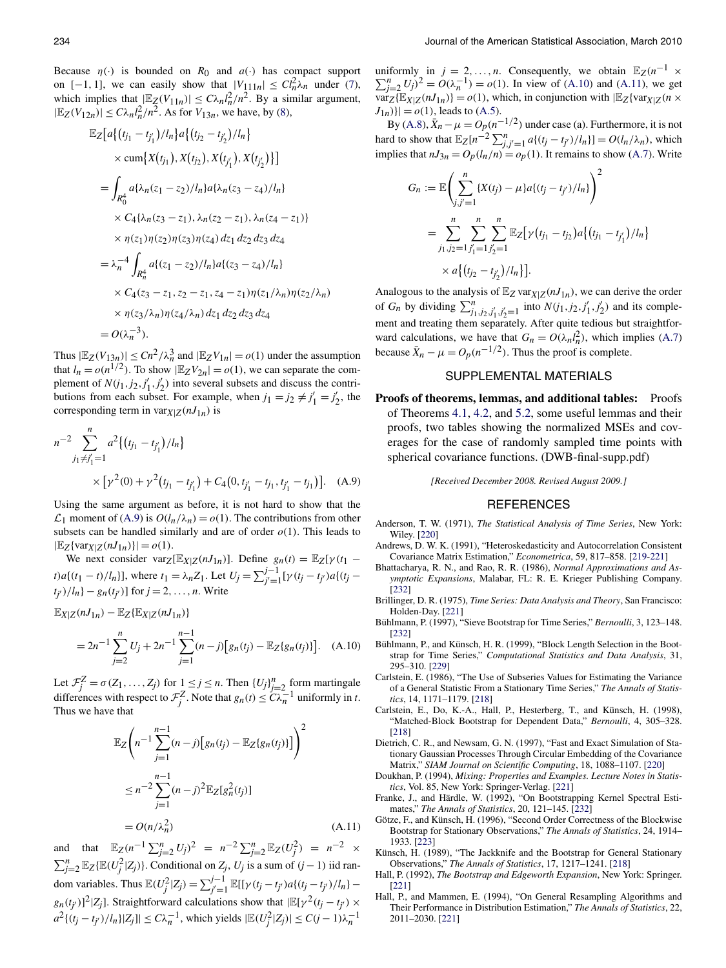<span id="page-16-0"></span>Because  $\eta(\cdot)$  is bounded on  $R_0$  and  $a(\cdot)$  has compact support on [-1, 1], we can easily show that  $|V_{111n}| \leq C l_n^2 \lambda_n$  under [\(7\)](#page-6-0), which implies that  $|\mathbb{E}_Z(V_{11n})| \le C \lambda_n l_n^2/n^2$ . By a similar argument,  $|\mathbb{E}_Z(V_{12n})| \le C \lambda_n l_n^2/n^2$ . As for  $V_{13n}$ , we have, by [\(8\)](#page-6-0),

$$
\mathbb{E}_{Z}[a\{(t_{j_{1}} - t_{j'_{1}})/l_{n}\}a\{(t_{j_{2}} - t_{j'_{2}})/l_{n}\}\n\times \text{cum}\{X(t_{j_{1}}), X(t_{j_{2}}), X(t_{j'_{1}}), X(t_{j'_{2}})\}\]\n=\n\int_{R_{0}^{4}} a\{\lambda_{n}(z_{1} - z_{2})/l_{n}\}a\{\lambda_{n}(z_{3} - z_{4})/l_{n}\}\n\times C_{4}\{\lambda_{n}(z_{3} - z_{1}), \lambda_{n}(z_{2} - z_{1}), \lambda_{n}(z_{4} - z_{1})\}\n\times \eta(z_{1})\eta(z_{2})\eta(z_{3})\eta(z_{4})\,dz_{1}\,dz_{2}\,dz_{3}\,dz_{4}\n=\n\lambda_{n}^{-4}\n\int_{R_{n}^{4}} a\{(z_{1} - z_{2})/l_{n}\}a\{(z_{3} - z_{4})/l_{n}\}\n\times C_{4}(z_{3} - z_{1}, z_{2} - z_{1}, z_{4} - z_{1})\eta(z_{1}/\lambda_{n})\eta(z_{2}/\lambda_{n})\n\times \eta(z_{3}/\lambda_{n})\eta(z_{4}/\lambda_{n})\,dz_{1}\,dz_{2}\,dz_{3}\,dz_{4}\n=\nO(\lambda_{n}^{-3}).
$$

Thus  $|\mathbb{E}_Z(V_{13n})| \leq Cn^2/\lambda_n^3$  and  $|\mathbb{E}_Z V_{1n}| = o(1)$  under the assumption that  $l_n = o(n^{1/2})$ . To show  $|\mathbb{E}_Z V_{2n}| = o(1)$ , we can separate the complement of  $N(j_1, j_2, j'_1, j'_2)$  into several subsets and discuss the contributions from each subset. For example, when  $j_1 = j_2 \neq j'_1 = j'_2$ , the corresponding term in  $var_{X|Z}(nJ_{1n})$  is

$$
n^{-2} \sum_{j_1 \neq j'_1 = 1}^{n} a^2 \{(t_{j_1} - t_{j'_1})/l_n\}
$$
  
 
$$
\times \left[ \gamma^2(0) + \gamma^2(t_{j_1} - t_{j'_1}) + C_4(0, t_{j'_1} - t_{j_1}, t_{j'_1} - t_{j_1}) \right].
$$
 (A.9)

Using the same argument as before, it is not hard to show that the  $\mathcal{L}_1$  moment of (A.9) is  $O(l_n/\lambda_n) = o(1)$ . The contributions from other subsets can be handled similarly and are of order  $o(1)$ . This leads to  $|\mathbb{E}_{Z} \{ \text{var}_{X|Z}(nJ_{1n}) \}| = o(1).$ 

We next consider var<sub>*Z*</sub>[ $\mathbb{E}_{X|Z}(nJ_{1n})$ ]. Define  $g_n(t) = \mathbb{E}_{Z}[\gamma(t_1$ *t*)*a*{ $(t_1 - t)/l_n$ }], where  $t_1 = \lambda_n Z_1$ . Let  $U_j = \sum_{j'=1}^{j-1}$  $\int_{j'=1}^{j-1} [\gamma(t_j - t_{j'}) a\{(t_j - t_{j'})\}]$  $(t_{j'})/l_n$  –  $g_n(t_{j'})$ ] for  $j = 2, ..., n$ . Write

$$
\mathbb{E}_{X|Z}(nJ_{1n}) - \mathbb{E}_Z\{\mathbb{E}_{X|Z}(nJ_{1n})\}
$$

$$
=2n^{-1}\sum_{j=2}^{n}U_j+2n^{-1}\sum_{j=1}^{n-1}(n-j)[g_n(t_j)-\mathbb{E}_Z\{g_n(t_j)\}].
$$
 (A.10)

Let  $\mathcal{F}_j^Z = \sigma(Z_1, \ldots, Z_j)$  for  $1 \leq j \leq n$ . Then  $\{U_j\}_{j=2}^n$  form martingale differences with respect to  $\mathcal{F}_{j}^{Z}$ . Note that  $g_{n}(t) \leq C \lambda_{n}^{-1}$  uniformly in *t*. Thus we have that

$$
\mathbb{E}_Z\left(n^{-1}\sum_{j=1}^{n-1}(n-j)[g_n(t_j) - \mathbb{E}_Z\{g_n(t_j)\}]\right)^2
$$
  
\n
$$
\leq n^{-2}\sum_{j=1}^{n-1}(n-j)^2\mathbb{E}_Z[g_n^2(t_j)]
$$
  
\n
$$
= O(n/\lambda_n^2) \tag{A.11}
$$

and that  $\mathbb{E}_Z(n^{-1}\sum_{j=2}^n U_j)^2 = n^{-2}\sum_{j=2}^n \mathbb{E}_Z(U_j^2) = n^{-2} \times$  $\sum_{j=2}^{n}$   $\mathbb{E}_Z$ { $\mathbb{E}(U_j^2|Z_j)$ }. Conditional on *Z<sub>j</sub>*, *U<sub>j</sub>* is a sum of *(j* − 1*)* iid random variables. Thus  $\mathbb{E}(U_j^2 | Z_j) = \sum_{j'=1}^{j-1}$  $j'=1$   $\mathbb{E}[(\gamma(t_j-t_{j'})a\{(t_j-t_{j'})/l_n\})$  –  $g_n(t_{j'})^2|Z_j|$ . Straightforward calculations show that  $|\mathbb{E}[\gamma^2(t_j - t_{j'}) \times$  $a^2$ { $(t_j - t_{j'})/l_n$ }|*Z*<sub>j</sub>]| ≤  $C\lambda_n^{-1}$ , which yields  $|\mathbb{E}(U_j^2|Z_j)| \le C(j-1)\lambda_n^{-1}$ 

uniformly in  $j = 2, ..., n$ . Consequently, we obtain  $\mathbb{E}_Z(n^{-1} \times \sum_{j=2}^n U_j)^2 = O(\lambda_n^{-1}) = o(1)$ . In view of (A.10) and (A.11), we get uniformly in  $j = 2, ..., n$ . Consequently, we obtain  $\mathbb{E}_Z(n^{-1} \times$  $\text{var}_Z[\mathbb{E}_X|Z(nJ_{1n})] = o(1)$ , which, in conjunction with  $|\mathbb{E}_Z\{\text{var}_{X|Z}(n \times$  $J_{1n}$ } $\vert = o(1)$ , leads to [\(A.5\)](#page-15-0).

By [\(A.8\)](#page-15-0),  $\bar{X}_n - \mu = O_p(n^{-1/2})$  under case (a). Furthermore, it is not hard to show that  $\mathbb{E}_Z[n^{-2} \sum_{j,j'=1}^n a\{(t_j - t_{j'})/l_n\}] = O(l_n/\lambda_n)$ , which implies that  $nJ_{3n} = O_p(l_n/n) = o_p(1)$ . It remains to show [\(A.7\)](#page-15-0). Write

$$
G_n := \mathbb{E}\left(\sum_{j,j'=1}^n \{X(t_j) - \mu\} a\{(t_j - t_{j'})/l_n\}\right)^2
$$
  
= 
$$
\sum_{j_1, j_2=1}^n \sum_{j'_1=1}^n \sum_{j'_2=1}^n \mathbb{E}_Z[\gamma(t_{j_1} - t_{j_2}) a\{(t_{j_1} - t_{j'_1})/l_n\}]
$$
  

$$
\times a\{(t_{j_2} - t_{j'_2})/l_n\}].
$$

Analogous to the analysis of  $\mathbb{E}_Z \text{var}_{X|Z}(nJ_{1n})$ , we can derive the order of *G<sub>n</sub>* by dividing  $\sum_{j_1,j_2,j'_1,j'_2=1}^{n}$  into  $N(j_1,j_2,j'_1,j'_2)$  and its complement and treating them separately. After quite tedious but straightforward calculations, we have that  $G_n = O(\lambda_n l_n^2)$ , which implies [\(A.7\)](#page-15-0) because  $\bar{X}_n - \mu = O_p(n^{-1/2})$ . Thus the proof is complete.

# SUPPLEMENTAL MATERIALS

**Proofs of theorems, lemmas, and additional tables:** Proofs of Theorems [4.1,](#page-4-0) [4.2,](#page-4-0) and [5.2,](#page-6-0) some useful lemmas and their proofs, two tables showing the normalized MSEs and coverages for the case of randomly sampled time points with spherical covariance functions. (DWB-final-supp.pdf)

*[Received December 2008. Revised August 2009.]*

#### **REFERENCES**

- Anderson, T. W. (1971), *The Statistical Analysis of Time Series*, New York: Wiley. [\[220\]](#page-2-0)
- Andrews, D. W. K. (1991), "Heteroskedasticity and Autocorrelation Consistent Covariance Matrix Estimation," *Econometrica*, 59, 817–858. [\[219-221\]](#page-1-0)
- Bhattacharya, R. N., and Rao, R. R. (1986), *Normal Approximations and Asymptotic Expansions*, Malabar, FL: R. E. Krieger Publishing Company. [\[232\]](#page-14-0)
- Brillinger, D. R. (1975), *Time Series: Data Analysis and Theory*, San Francisco: Holden-Day. [\[221\]](#page-3-0)
- Bühlmann, P. (1997), "Sieve Bootstrap for Time Series," *Bernoulli*, 3, 123–148. [\[232\]](#page-14-0)
- Bühlmann, P., and Künsch, H. R. (1999), "Block Length Selection in the Bootstrap for Time Series," *Computational Statistics and Data Analysis*, 31, 295–310. [\[229\]](#page-11-0)
- Carlstein, E. (1986), "The Use of Subseries Values for Estimating the Variance of a General Statistic From a Stationary Time Series," *The Annals of Statistics*, 14, 1171–1179. [\[218\]](#page-0-0)
- Carlstein, E., Do, K.-A., Hall, P., Hesterberg, T., and Künsch, H. (1998), "Matched-Block Bootstrap for Dependent Data," *Bernoulli*, 4, 305–328. [\[218\]](#page-0-0)
- Dietrich, C. R., and Newsam, G. N. (1997), "Fast and Exact Simulation of Stationary Gaussian Processes Through Circular Embedding of the Covariance Matrix," *SIAM Journal on Scientific Computing*, 18, 1088–1107. [\[220\]](#page-2-0)
- Doukhan, P. (1994), *Mixing: Properties and Examples. Lecture Notes in Statistics*, Vol. 85, New York: Springer-Verlag. [\[221\]](#page-3-0)
- Franke, J., and Härdle, W. (1992), "On Bootstrapping Kernel Spectral Estimates," *The Annals of Statistics*, 20, 121–145. [\[232\]](#page-14-0)
- Götze, F., and Künsch, H. (1996), "Second Order Correctness of the Blockwise Bootstrap for Stationary Observations," *The Annals of Statistics*, 24, 1914– 1933. [\[223\]](#page-5-0)
- Künsch, H. (1989), "The Jackknife and the Bootstrap for General Stationary Observations," *The Annals of Statistics*, 17, 1217–1241. [\[218\]](#page-0-0)
- Hall, P. (1992), *The Bootstrap and Edgeworth Expansion*, New York: Springer. [\[221\]](#page-3-0)
- Hall, P., and Mammen, E. (1994), "On General Resampling Algorithms and Their Performance in Distribution Estimation," *The Annals of Statistics*, 22, 2011–2030. [\[221\]](#page-3-0)